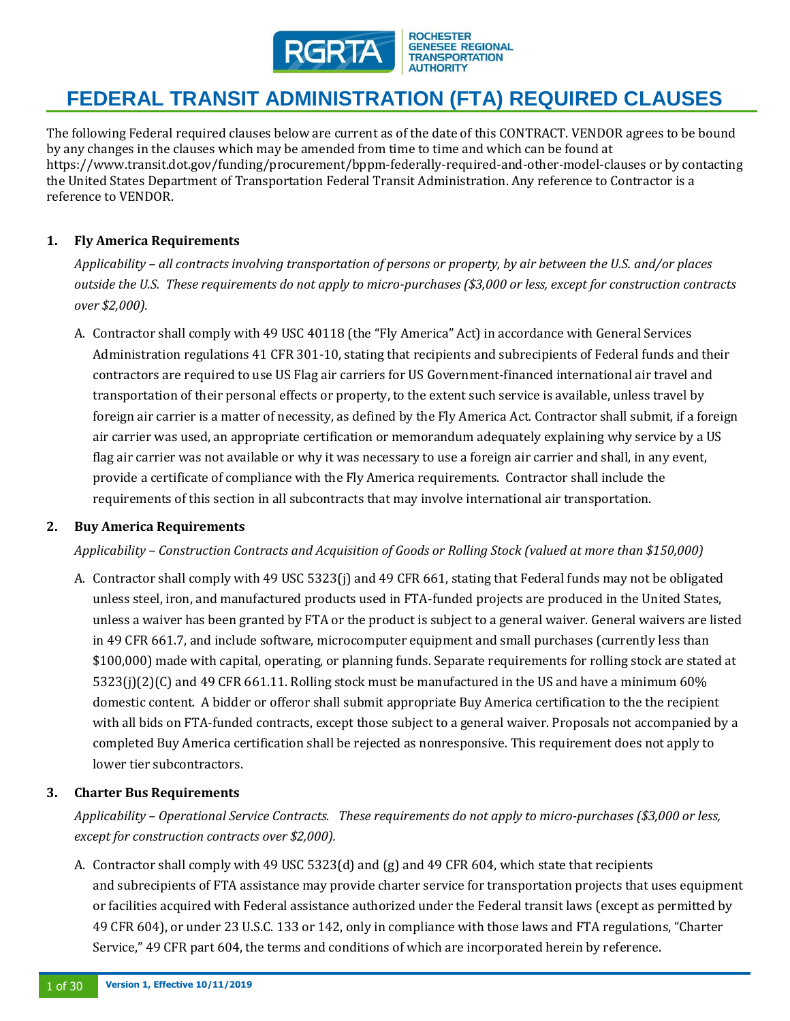

The following Federal required clauses below are current as of the date of this CONTRACT. VENDOR agrees to be bound by any changes in the clauses which may be amended from time to time and which can be found at https://www.transit.dot.gov/funding/procurement/bppm-federally-required-and-other-model-clauses or by contacting the United States Department of Transportation Federal Transit Administration. Any reference to Contractor is a reference to VENDOR.

# **1. Fly America Requirements**

*Applicability – all contracts involving transportation of persons or property, by air between the U.S. and/or places outside the U.S. These requirements do not apply to micro-purchases (\$3,000 or less, except for construction contracts over \$2,000).*

A. Contractor shall comply with 49 USC 40118 (the "Fly America" Act) in accordance with General Services Administration regulations 41 CFR 301-10, stating that recipients and subrecipients of Federal funds and their contractors are required to use US Flag air carriers for US Government-financed international air travel and transportation of their personal effects or property, to the extent such service is available, unless travel by foreign air carrier is a matter of necessity, as defined by the Fly America Act. Contractor shall submit, if a foreign air carrier was used, an appropriate certification or memorandum adequately explaining why service by a US flag air carrier was not available or why it was necessary to use a foreign air carrier and shall, in any event, provide a certificate of compliance with the Fly America requirements. Contractor shall include the requirements of this section in all subcontracts that may involve international air transportation.

#### **2. Buy America Requirements**

*Applicability – Construction Contracts and Acquisition of Goods or Rolling Stock (valued at more than \$150,000)*

A. Contractor shall comply with 49 USC 5323(j) and 49 CFR 661, stating that Federal funds may not be obligated unless steel, iron, and manufactured products used in FTA-funded projects are produced in the United States, unless a waiver has been granted by FTA or the product is subject to a general waiver. General waivers are listed in 49 CFR 661.7, and include software, microcomputer equipment and small purchases (currently less than \$100,000) made with capital, operating, or planning funds. Separate requirements for rolling stock are stated at 5323(j)(2)(C) and 49 CFR 661.11. Rolling stock must be manufactured in the US and have a minimum 60% domestic content. A bidder or offeror shall submit appropriate Buy America certification to the the recipient with all bids on FTA-funded contracts, except those subject to a general waiver. Proposals not accompanied by a completed Buy America certification shall be rejected as nonresponsive. This requirement does not apply to lower tier subcontractors.

### **3. Charter Bus Requirements**

*Applicability – Operational Service Contracts. These requirements do not apply to micro-purchases (\$3,000 or less, except for construction contracts over \$2,000).*

A. Contractor shall comply with 49 USC 5323(d) and (g) and 49 CFR 604, which state that recipients and subrecipients of FTA assistance may provide charter service for transportation projects that uses equipment or facilities acquired with Federal assistance authorized under the Federal transit laws (except as permitted by 49 CFR 604), or under 23 U.S.C. 133 or 142, only in compliance with those laws and FTA regulations, "Charter Service," 49 CFR part 604, the terms and conditions of which are incorporated herein by reference.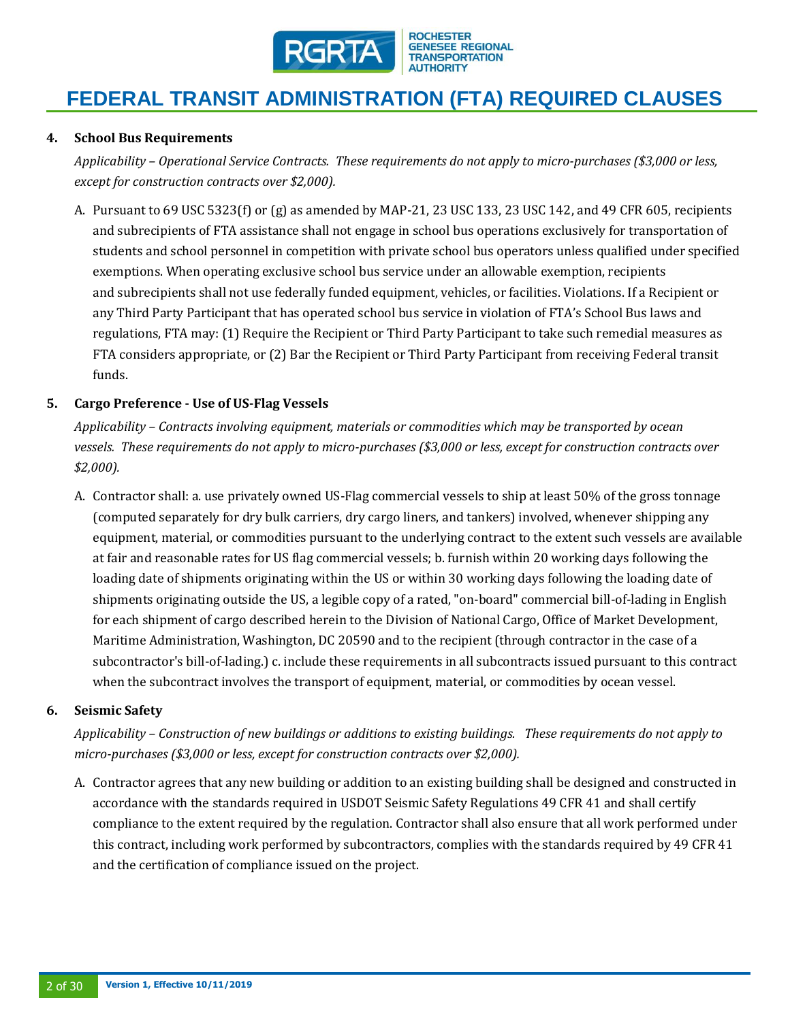

#### **4. School Bus Requirements**

*Applicability – Operational Service Contracts. These requirements do not apply to micro-purchases (\$3,000 or less, except for construction contracts over \$2,000).*

A. Pursuant to 69 USC 5323(f) or (g) as amended by MAP-21, 23 USC 133, 23 USC 142, and 49 CFR 605, recipients and subrecipients of FTA assistance shall not engage in school bus operations exclusively for transportation of students and school personnel in competition with private school bus operators unless qualified under specified exemptions. When operating exclusive school bus service under an allowable exemption, recipients and subrecipients shall not use federally funded equipment, vehicles, or facilities. Violations. If a Recipient or any Third Party Participant that has operated school bus service in violation of FTA's School Bus laws and regulations, FTA may: (1) Require the Recipient or Third Party Participant to take such remedial measures as FTA considers appropriate, or (2) Bar the Recipient or Third Party Participant from receiving Federal transit funds.

#### **5. Cargo Preference - Use of US-Flag Vessels**

*Applicability – Contracts involving equipment, materials or commodities which may be transported by ocean vessels. These requirements do not apply to micro-purchases (\$3,000 or less, except for construction contracts over \$2,000).*

A. Contractor shall: a. use privately owned US-Flag commercial vessels to ship at least 50% of the gross tonnage (computed separately for dry bulk carriers, dry cargo liners, and tankers) involved, whenever shipping any equipment, material, or commodities pursuant to the underlying contract to the extent such vessels are available at fair and reasonable rates for US flag commercial vessels; b. furnish within 20 working days following the loading date of shipments originating within the US or within 30 working days following the loading date of shipments originating outside the US, a legible copy of a rated, "on-board" commercial bill-of-lading in English for each shipment of cargo described herein to the Division of National Cargo, Office of Market Development, Maritime Administration, Washington, DC 20590 and to the recipient (through contractor in the case of a subcontractor's bill-of-lading.) c. include these requirements in all subcontracts issued pursuant to this contract when the subcontract involves the transport of equipment, material, or commodities by ocean vessel.

#### **6. Seismic Safety**

*Applicability – Construction of new buildings or additions to existing buildings. These requirements do not apply to micro-purchases (\$3,000 or less, except for construction contracts over \$2,000).* 

A. Contractor agrees that any new building or addition to an existing building shall be designed and constructed in accordance with the standards required in USDOT Seismic Safety Regulations 49 CFR 41 and shall certify compliance to the extent required by the regulation. Contractor shall also ensure that all work performed under this contract, including work performed by subcontractors, complies with the standards required by 49 CFR 41 and the certification of compliance issued on the project.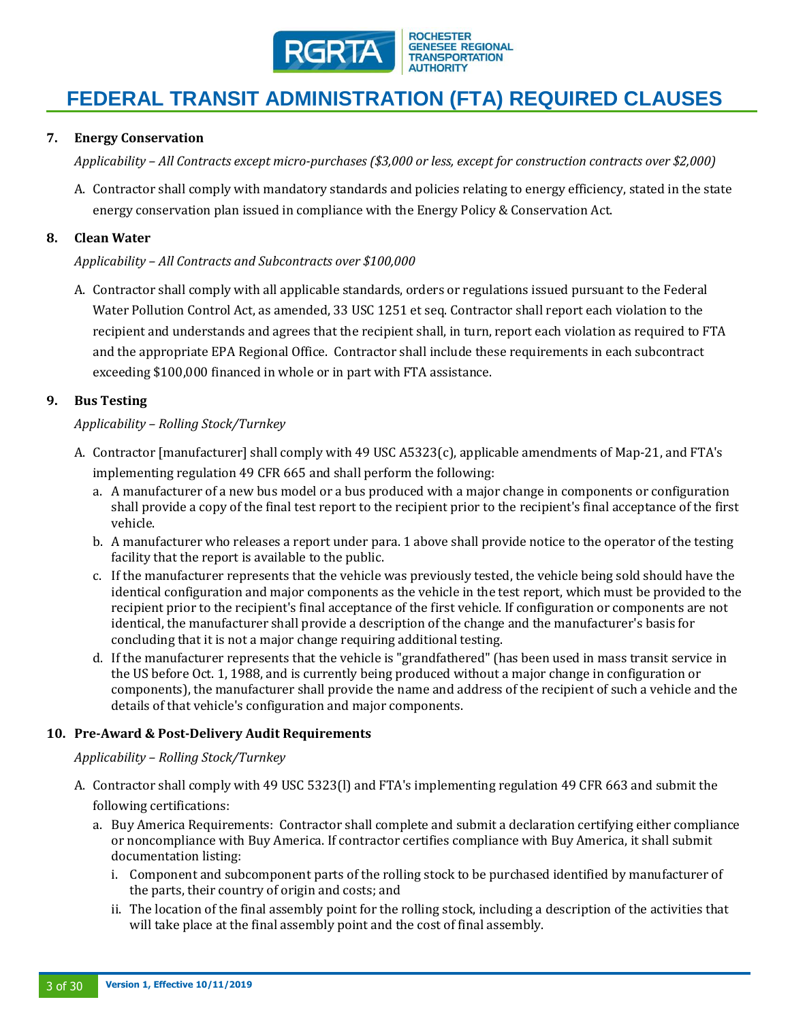

### **7. Energy Conservation**

*Applicability – All Contracts except micro-purchases (\$3,000 or less, except for construction contracts over \$2,000)* 

A. Contractor shall comply with mandatory standards and policies relating to energy efficiency, stated in the state energy conservation plan issued in compliance with the Energy Policy & Conservation Act.

#### **8. Clean Water**

#### *Applicability – All Contracts and Subcontracts over \$100,000*

A. Contractor shall comply with all applicable standards, orders or regulations issued pursuant to the Federal Water Pollution Control Act, as amended, 33 USC 1251 et seq. Contractor shall report each violation to the recipient and understands and agrees that the recipient shall, in turn, report each violation as required to FTA and the appropriate EPA Regional Office. Contractor shall include these requirements in each subcontract exceeding \$100,000 financed in whole or in part with FTA assistance.

#### **9. Bus Testing**

#### *Applicability – Rolling Stock/Turnkey*

- A. Contractor [manufacturer] shall comply with 49 USC A5323(c), applicable amendments of Map-21, and FTA's implementing regulation 49 CFR 665 and shall perform the following:
	- a. A manufacturer of a new bus model or a bus produced with a major change in components or configuration shall provide a copy of the final test report to the recipient prior to the recipient's final acceptance of the first vehicle.
	- b. A manufacturer who releases a report under para. 1 above shall provide notice to the operator of the testing facility that the report is available to the public.
	- c. If the manufacturer represents that the vehicle was previously tested, the vehicle being sold should have the identical configuration and major components as the vehicle in the test report, which must be provided to the recipient prior to the recipient's final acceptance of the first vehicle. If configuration or components are not identical, the manufacturer shall provide a description of the change and the manufacturer's basis for concluding that it is not a major change requiring additional testing.
	- d. If the manufacturer represents that the vehicle is "grandfathered" (has been used in mass transit service in the US before Oct. 1, 1988, and is currently being produced without a major change in configuration or components), the manufacturer shall provide the name and address of the recipient of such a vehicle and the details of that vehicle's configuration and major components.

#### **10. Pre-Award & Post-Delivery Audit Requirements**

#### *Applicability – Rolling Stock/Turnkey*

- A. Contractor shall comply with 49 USC 5323(l) and FTA's implementing regulation 49 CFR 663 and submit the following certifications:
	- a. Buy America Requirements: Contractor shall complete and submit a declaration certifying either compliance or noncompliance with Buy America. If contractor certifies compliance with Buy America, it shall submit documentation listing:
		- i. Component and subcomponent parts of the rolling stock to be purchased identified by manufacturer of the parts, their country of origin and costs; and
		- ii. The location of the final assembly point for the rolling stock, including a description of the activities that will take place at the final assembly point and the cost of final assembly.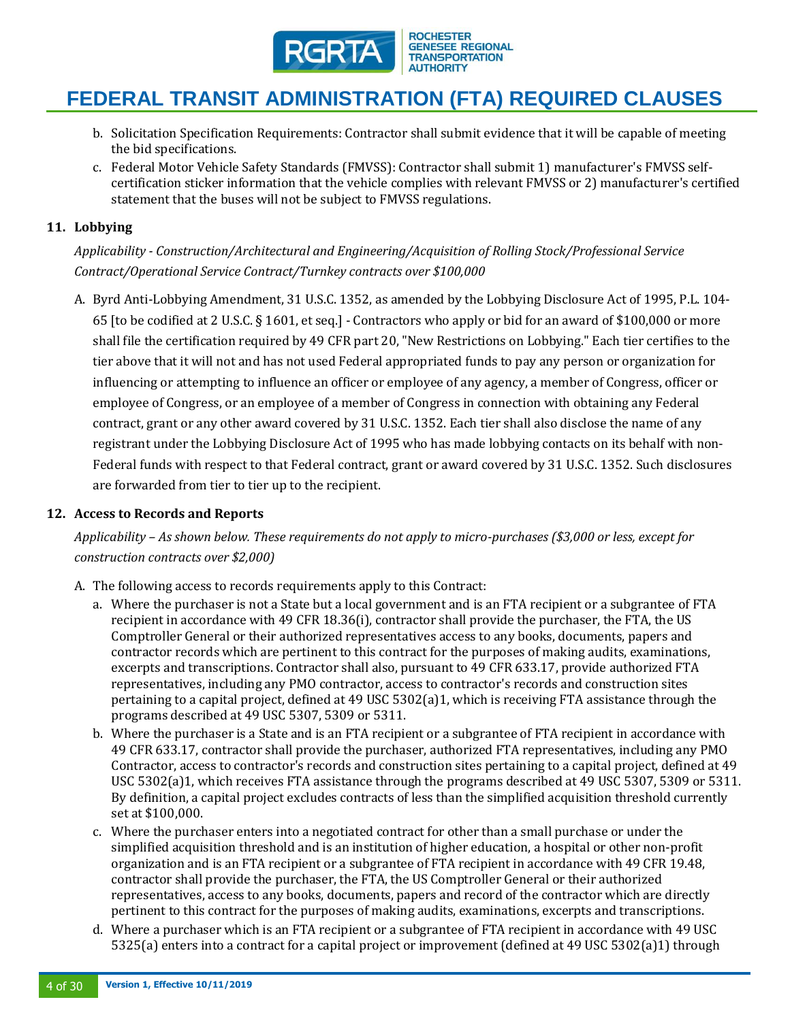

- b. Solicitation Specification Requirements: Contractor shall submit evidence that it will be capable of meeting the bid specifications.
- c. Federal Motor Vehicle Safety Standards (FMVSS): Contractor shall submit 1) manufacturer's FMVSS selfcertification sticker information that the vehicle complies with relevant FMVSS or 2) manufacturer's certified statement that the buses will not be subject to FMVSS regulations.

#### **11. Lobbying**

*Applicability - Construction/Architectural and Engineering/Acquisition of Rolling Stock/Professional Service Contract/Operational Service Contract/Turnkey contracts over \$100,000* 

A. Byrd Anti-Lobbying Amendment, 31 U.S.C. 1352, as amended by the Lobbying Disclosure Act of 1995, P.L. 104- 65 [to be codified at 2 U.S.C. § 1601, et seq.] - Contractors who apply or bid for an award of \$100,000 or more shall file the certification required by 49 CFR part 20, "New Restrictions on Lobbying." Each tier certifies to the tier above that it will not and has not used Federal appropriated funds to pay any person or organization for influencing or attempting to influence an officer or employee of any agency, a member of Congress, officer or employee of Congress, or an employee of a member of Congress in connection with obtaining any Federal contract, grant or any other award covered by 31 U.S.C. 1352. Each tier shall also disclose the name of any registrant under the Lobbying Disclosure Act of 1995 who has made lobbying contacts on its behalf with non-Federal funds with respect to that Federal contract, grant or award covered by 31 U.S.C. 1352. Such disclosures are forwarded from tier to tier up to the recipient.

#### **12. Access to Records and Reports**

*Applicability – As shown below. These requirements do not apply to micro-purchases (\$3,000 or less, except for construction contracts over \$2,000)*

- A. The following access to records requirements apply to this Contract:
	- a. Where the purchaser is not a State but a local government and is an FTA recipient or a subgrantee of FTA recipient in accordance with 49 CFR 18.36(i), contractor shall provide the purchaser, the FTA, the US Comptroller General or their authorized representatives access to any books, documents, papers and contractor records which are pertinent to this contract for the purposes of making audits, examinations, excerpts and transcriptions. Contractor shall also, pursuant to 49 CFR 633.17, provide authorized FTA representatives, including any PMO contractor, access to contractor's records and construction sites pertaining to a capital project, defined at 49 USC 5302(a)1, which is receiving FTA assistance through the programs described at 49 USC 5307, 5309 or 5311.
	- b. Where the purchaser is a State and is an FTA recipient or a subgrantee of FTA recipient in accordance with 49 CFR 633.17, contractor shall provide the purchaser, authorized FTA representatives, including any PMO Contractor, access to contractor's records and construction sites pertaining to a capital project, defined at 49 USC 5302(a)1, which receives FTA assistance through the programs described at 49 USC 5307, 5309 or 5311. By definition, a capital project excludes contracts of less than the simplified acquisition threshold currently set at \$100,000.
	- c. Where the purchaser enters into a negotiated contract for other than a small purchase or under the simplified acquisition threshold and is an institution of higher education, a hospital or other non-profit organization and is an FTA recipient or a subgrantee of FTA recipient in accordance with 49 CFR 19.48, contractor shall provide the purchaser, the FTA, the US Comptroller General or their authorized representatives, access to any books, documents, papers and record of the contractor which are directly pertinent to this contract for the purposes of making audits, examinations, excerpts and transcriptions.
	- d. Where a purchaser which is an FTA recipient or a subgrantee of FTA recipient in accordance with 49 USC 5325(a) enters into a contract for a capital project or improvement (defined at 49 USC 5302(a)1) through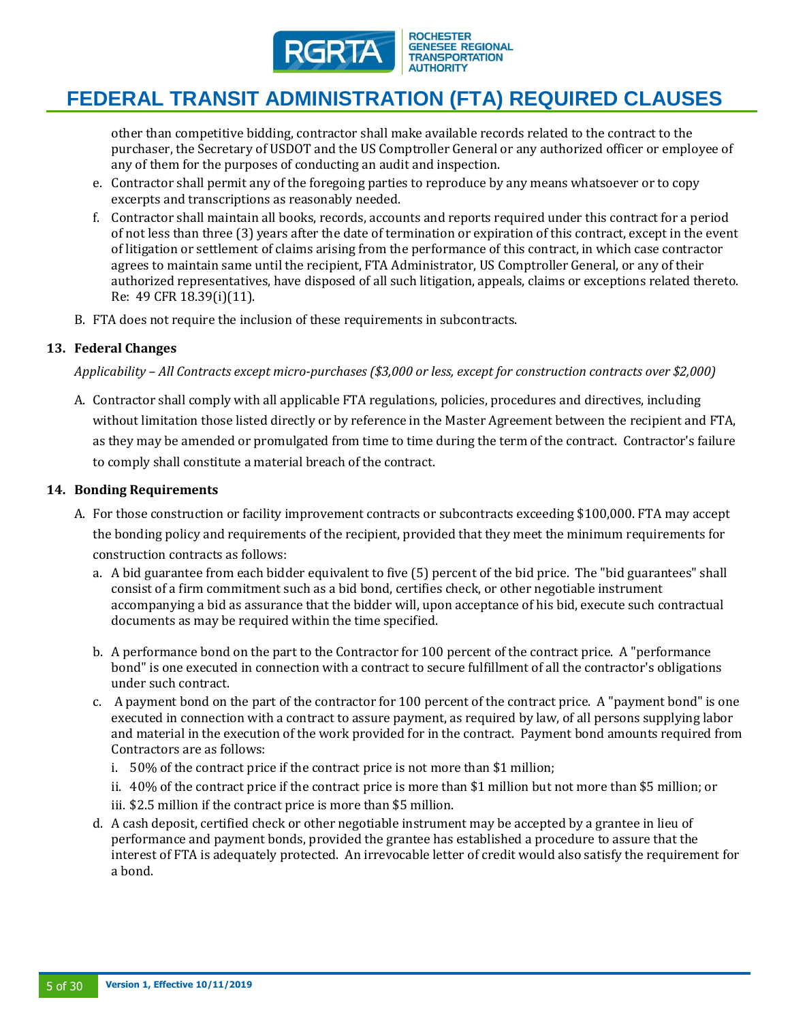

# **FEDERAL TRANSIT ADMINISTRATION (FTA) REQUIRED CLAUSES**

other than competitive bidding, contractor shall make available records related to the contract to the purchaser, the Secretary of USDOT and the US Comptroller General or any authorized officer or employee of any of them for the purposes of conducting an audit and inspection.

- e. Contractor shall permit any of the foregoing parties to reproduce by any means whatsoever or to copy excerpts and transcriptions as reasonably needed.
- f. Contractor shall maintain all books, records, accounts and reports required under this contract for a period of not less than three (3) years after the date of termination or expiration of this contract, except in the event of litigation or settlement of claims arising from the performance of this contract, in which case contractor agrees to maintain same until the recipient, FTA Administrator, US Comptroller General, or any of their authorized representatives, have disposed of all such litigation, appeals, claims or exceptions related thereto. Re: 49 CFR 18.39(i)(11).
- B. FTA does not require the inclusion of these requirements in subcontracts.

### **13. Federal Changes**

*Applicability – All Contracts except micro-purchases (\$3,000 or less, except for construction contracts over \$2,000)*

A. Contractor shall comply with all applicable FTA regulations, policies, procedures and directives, including without limitation those listed directly or by reference in the Master Agreement between the recipient and FTA, as they may be amended or promulgated from time to time during the term of the contract. Contractor's failure to comply shall constitute a material breach of the contract.

#### **14. Bonding Requirements**

- A. For those construction or facility improvement contracts or subcontracts exceeding \$100,000. FTA may accept the bonding policy and requirements of the recipient, provided that they meet the minimum requirements for construction contracts as follows:
	- a. A bid guarantee from each bidder equivalent to five (5) percent of the bid price. The "bid guarantees" shall consist of a firm commitment such as a bid bond, certifies check, or other negotiable instrument accompanying a bid as assurance that the bidder will, upon acceptance of his bid, execute such contractual documents as may be required within the time specified.
	- b. A performance bond on the part to the Contractor for 100 percent of the contract price. A "performance bond" is one executed in connection with a contract to secure fulfillment of all the contractor's obligations under such contract.
	- c. A payment bond on the part of the contractor for 100 percent of the contract price. A "payment bond" is one executed in connection with a contract to assure payment, as required by law, of all persons supplying labor and material in the execution of the work provided for in the contract. Payment bond amounts required from Contractors are as follows:
		- i. 50% of the contract price if the contract price is not more than \$1 million;
		- ii. 40% of the contract price if the contract price is more than \$1 million but not more than \$5 million; or
		- iii. \$2.5 million if the contract price is more than \$5 million.
	- d. A cash deposit, certified check or other negotiable instrument may be accepted by a grantee in lieu of performance and payment bonds, provided the grantee has established a procedure to assure that the interest of FTA is adequately protected. An irrevocable letter of credit would also satisfy the requirement for a bond.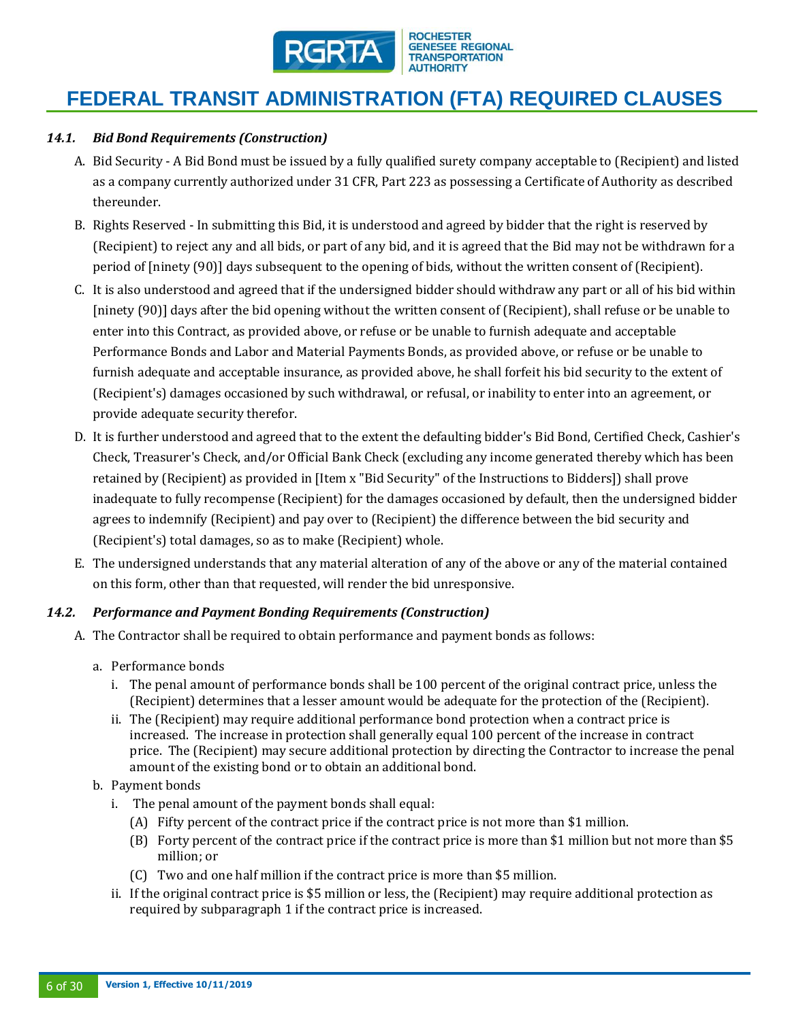

### *14.1. Bid Bond Requirements (Construction)*

- A. Bid Security A Bid Bond must be issued by a fully qualified surety company acceptable to (Recipient) and listed as a company currently authorized under 31 CFR, Part 223 as possessing a Certificate of Authority as described thereunder.
- B. Rights Reserved In submitting this Bid, it is understood and agreed by bidder that the right is reserved by (Recipient) to reject any and all bids, or part of any bid, and it is agreed that the Bid may not be withdrawn for a period of [ninety (90)] days subsequent to the opening of bids, without the written consent of (Recipient).
- C. It is also understood and agreed that if the undersigned bidder should withdraw any part or all of his bid within [ninety (90)] days after the bid opening without the written consent of (Recipient), shall refuse or be unable to enter into this Contract, as provided above, or refuse or be unable to furnish adequate and acceptable Performance Bonds and Labor and Material Payments Bonds, as provided above, or refuse or be unable to furnish adequate and acceptable insurance, as provided above, he shall forfeit his bid security to the extent of (Recipient's) damages occasioned by such withdrawal, or refusal, or inability to enter into an agreement, or provide adequate security therefor.
- D. It is further understood and agreed that to the extent the defaulting bidder's Bid Bond, Certified Check, Cashier's Check, Treasurer's Check, and/or Official Bank Check (excluding any income generated thereby which has been retained by (Recipient) as provided in [Item x "Bid Security" of the Instructions to Bidders]) shall prove inadequate to fully recompense (Recipient) for the damages occasioned by default, then the undersigned bidder agrees to indemnify (Recipient) and pay over to (Recipient) the difference between the bid security and (Recipient's) total damages, so as to make (Recipient) whole.
- E. The undersigned understands that any material alteration of any of the above or any of the material contained on this form, other than that requested, will render the bid unresponsive.

### *14.2. Performance and Payment Bonding Requirements (Construction)*

- A. The Contractor shall be required to obtain performance and payment bonds as follows:
	- a. Performance bonds
		- i. The penal amount of performance bonds shall be 100 percent of the original contract price, unless the (Recipient) determines that a lesser amount would be adequate for the protection of the (Recipient).
		- ii. The (Recipient) may require additional performance bond protection when a contract price is increased. The increase in protection shall generally equal 100 percent of the increase in contract price. The (Recipient) may secure additional protection by directing the Contractor to increase the penal amount of the existing bond or to obtain an additional bond.
	- b. Payment bonds
		- i. The penal amount of the payment bonds shall equal:
			- (A) Fifty percent of the contract price if the contract price is not more than \$1 million.
			- (B) Forty percent of the contract price if the contract price is more than \$1 million but not more than \$5 million; or
			- (C) Two and one half million if the contract price is more than \$5 million.
		- ii. If the original contract price is \$5 million or less, the (Recipient) may require additional protection as required by subparagraph 1 if the contract price is increased.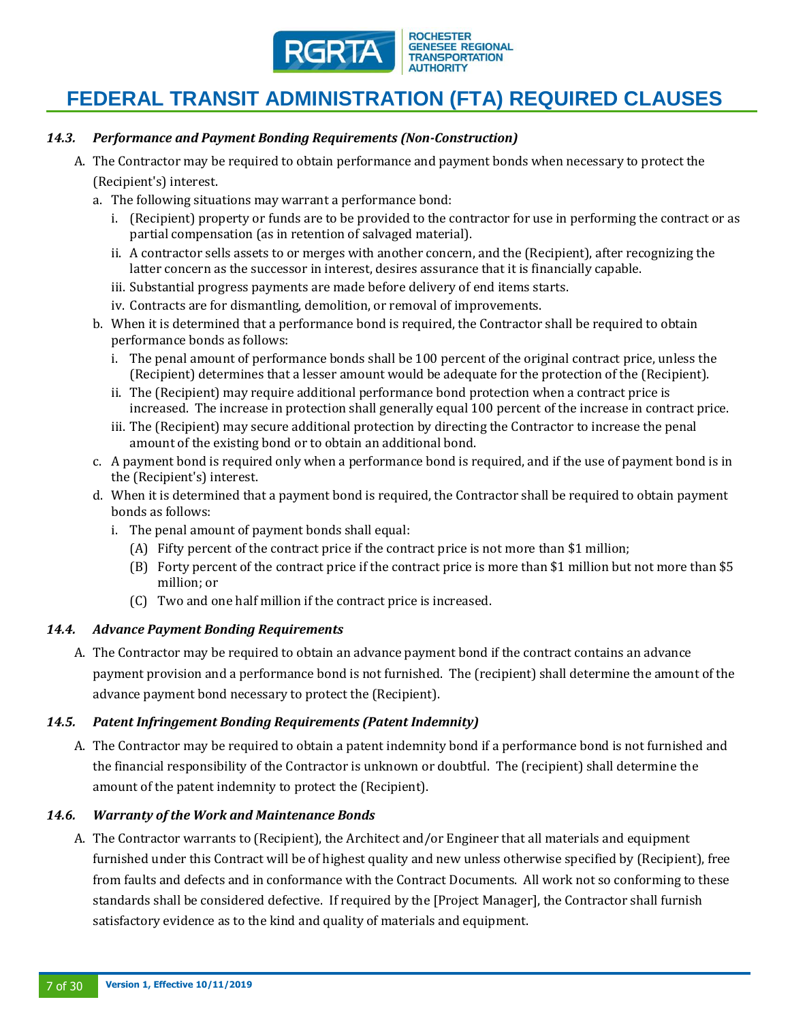

### *14.3. Performance and Payment Bonding Requirements (Non-Construction)*

- A. The Contractor may be required to obtain performance and payment bonds when necessary to protect the (Recipient's) interest.
	- a. The following situations may warrant a performance bond:
		- i. (Recipient) property or funds are to be provided to the contractor for use in performing the contract or as partial compensation (as in retention of salvaged material).
		- ii. A contractor sells assets to or merges with another concern, and the (Recipient), after recognizing the latter concern as the successor in interest, desires assurance that it is financially capable.
		- iii. Substantial progress payments are made before delivery of end items starts.
		- iv. Contracts are for dismantling, demolition, or removal of improvements.
	- b. When it is determined that a performance bond is required, the Contractor shall be required to obtain performance bonds as follows:
		- i. The penal amount of performance bonds shall be 100 percent of the original contract price, unless the (Recipient) determines that a lesser amount would be adequate for the protection of the (Recipient).
		- ii. The (Recipient) may require additional performance bond protection when a contract price is increased. The increase in protection shall generally equal 100 percent of the increase in contract price.
		- iii. The (Recipient) may secure additional protection by directing the Contractor to increase the penal amount of the existing bond or to obtain an additional bond.
	- c. A payment bond is required only when a performance bond is required, and if the use of payment bond is in the (Recipient's) interest.
	- d. When it is determined that a payment bond is required, the Contractor shall be required to obtain payment bonds as follows:
		- i. The penal amount of payment bonds shall equal:
			- (A) Fifty percent of the contract price if the contract price is not more than \$1 million;
			- (B) Forty percent of the contract price if the contract price is more than \$1 million but not more than \$5 million; or
			- (C) Two and one half million if the contract price is increased.

#### *14.4. Advance Payment Bonding Requirements*

A. The Contractor may be required to obtain an advance payment bond if the contract contains an advance payment provision and a performance bond is not furnished. The (recipient) shall determine the amount of the advance payment bond necessary to protect the (Recipient).

### *14.5. Patent Infringement Bonding Requirements (Patent Indemnity)*

A. The Contractor may be required to obtain a patent indemnity bond if a performance bond is not furnished and the financial responsibility of the Contractor is unknown or doubtful. The (recipient) shall determine the amount of the patent indemnity to protect the (Recipient).

### *14.6. Warranty of the Work and Maintenance Bonds*

A. The Contractor warrants to (Recipient), the Architect and/or Engineer that all materials and equipment furnished under this Contract will be of highest quality and new unless otherwise specified by (Recipient), free from faults and defects and in conformance with the Contract Documents. All work not so conforming to these standards shall be considered defective. If required by the [Project Manager], the Contractor shall furnish satisfactory evidence as to the kind and quality of materials and equipment.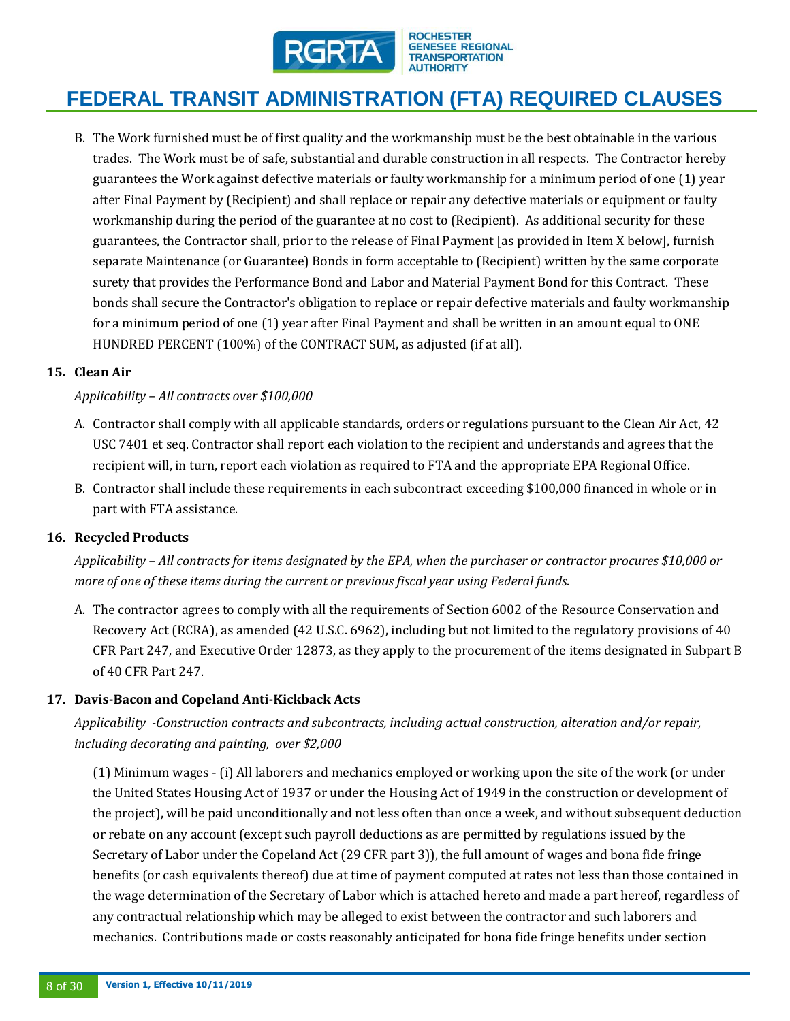

B. The Work furnished must be of first quality and the workmanship must be the best obtainable in the various trades. The Work must be of safe, substantial and durable construction in all respects. The Contractor hereby guarantees the Work against defective materials or faulty workmanship for a minimum period of one (1) year after Final Payment by (Recipient) and shall replace or repair any defective materials or equipment or faulty workmanship during the period of the guarantee at no cost to (Recipient). As additional security for these guarantees, the Contractor shall, prior to the release of Final Payment [as provided in Item X below], furnish separate Maintenance (or Guarantee) Bonds in form acceptable to (Recipient) written by the same corporate surety that provides the Performance Bond and Labor and Material Payment Bond for this Contract. These bonds shall secure the Contractor's obligation to replace or repair defective materials and faulty workmanship for a minimum period of one (1) year after Final Payment and shall be written in an amount equal to ONE HUNDRED PERCENT (100%) of the CONTRACT SUM, as adjusted (if at all).

### **15. Clean Air**

### *Applicability – All contracts over \$100,000*

- A. Contractor shall comply with all applicable standards, orders or regulations pursuant to the Clean Air Act, 42 USC 7401 et seq. Contractor shall report each violation to the recipient and understands and agrees that the recipient will, in turn, report each violation as required to FTA and the appropriate EPA Regional Office.
- B. Contractor shall include these requirements in each subcontract exceeding \$100,000 financed in whole or in part with FTA assistance.

### **16. Recycled Products**

*Applicability – All contracts for items designated by the EPA, when the purchaser or contractor procures \$10,000 or more of one of these items during the current or previous fiscal year using Federal funds.*

A. The contractor agrees to comply with all the requirements of Section 6002 of the Resource Conservation and Recovery Act (RCRA), as amended (42 U.S.C. 6962), including but not limited to the regulatory provisions of 40 CFR Part 247, and Executive Order 12873, as they apply to the procurement of the items designated in Subpart B of 40 CFR Part 247.

### **17. Davis-Bacon and Copeland Anti-Kickback Acts**

# *Applicability -Construction contracts and subcontracts, including actual construction, alteration and/or repair, including decorating and painting, over \$2,000*

(1) Minimum wages - (i) All laborers and mechanics employed or working upon the site of the work (or under the United States Housing Act of 1937 or under the Housing Act of 1949 in the construction or development of the project), will be paid unconditionally and not less often than once a week, and without subsequent deduction or rebate on any account (except such payroll deductions as are permitted by regulations issued by the Secretary of Labor under the Copeland Act (29 CFR part 3)), the full amount of wages and bona fide fringe benefits (or cash equivalents thereof) due at time of payment computed at rates not less than those contained in the wage determination of the Secretary of Labor which is attached hereto and made a part hereof, regardless of any contractual relationship which may be alleged to exist between the contractor and such laborers and mechanics. Contributions made or costs reasonably anticipated for bona fide fringe benefits under section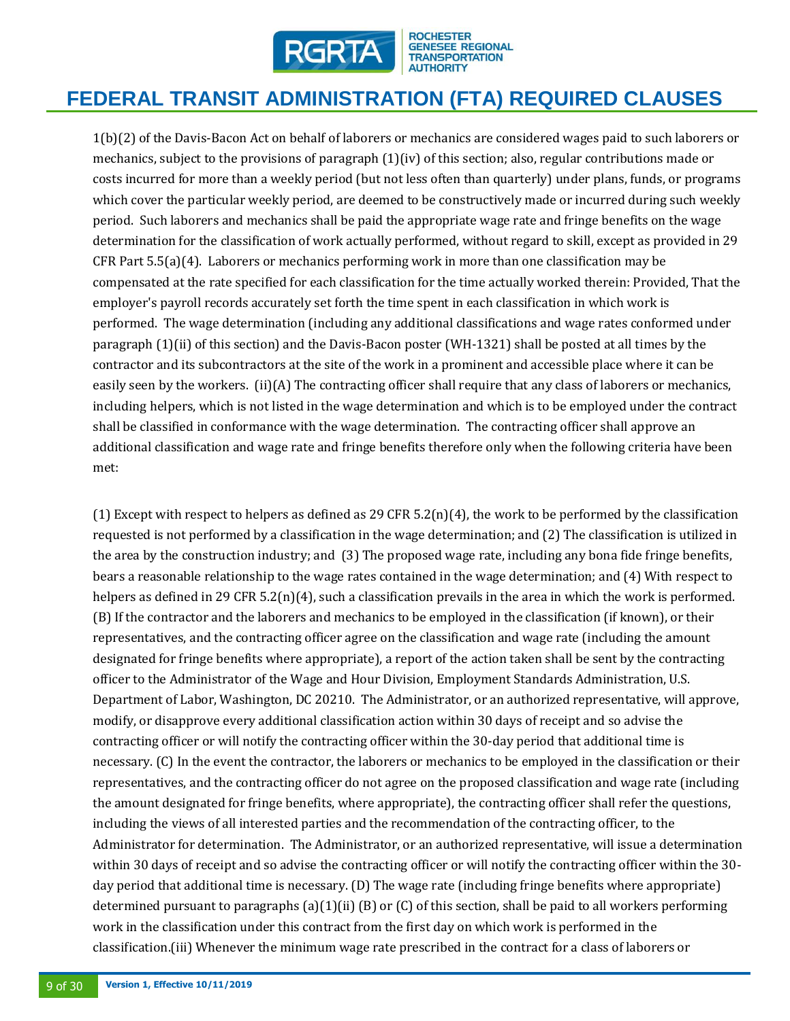

# **FEDERAL TRANSIT ADMINISTRATION (FTA) REQUIRED CLAUSES**

1(b)(2) of the Davis-Bacon Act on behalf of laborers or mechanics are considered wages paid to such laborers or mechanics, subject to the provisions of paragraph (1)(iv) of this section; also, regular contributions made or costs incurred for more than a weekly period (but not less often than quarterly) under plans, funds, or programs which cover the particular weekly period, are deemed to be constructively made or incurred during such weekly period. Such laborers and mechanics shall be paid the appropriate wage rate and fringe benefits on the wage determination for the classification of work actually performed, without regard to skill, except as provided in 29 CFR Part 5.5(a)(4). Laborers or mechanics performing work in more than one classification may be compensated at the rate specified for each classification for the time actually worked therein: Provided, That the employer's payroll records accurately set forth the time spent in each classification in which work is performed. The wage determination (including any additional classifications and wage rates conformed under paragraph (1)(ii) of this section) and the Davis-Bacon poster (WH-1321) shall be posted at all times by the contractor and its subcontractors at the site of the work in a prominent and accessible place where it can be easily seen by the workers. (ii)(A) The contracting officer shall require that any class of laborers or mechanics, including helpers, which is not listed in the wage determination and which is to be employed under the contract shall be classified in conformance with the wage determination. The contracting officer shall approve an additional classification and wage rate and fringe benefits therefore only when the following criteria have been met:

(1) Except with respect to helpers as defined as 29 CFR 5.2(n)(4), the work to be performed by the classification requested is not performed by a classification in the wage determination; and (2) The classification is utilized in the area by the construction industry; and (3) The proposed wage rate, including any bona fide fringe benefits, bears a reasonable relationship to the wage rates contained in the wage determination; and (4) With respect to helpers as defined in 29 CFR  $5.2(n)(4)$ , such a classification prevails in the area in which the work is performed. (B) If the contractor and the laborers and mechanics to be employed in the classification (if known), or their representatives, and the contracting officer agree on the classification and wage rate (including the amount designated for fringe benefits where appropriate), a report of the action taken shall be sent by the contracting officer to the Administrator of the Wage and Hour Division, Employment Standards Administration, U.S. Department of Labor, Washington, DC 20210. The Administrator, or an authorized representative, will approve, modify, or disapprove every additional classification action within 30 days of receipt and so advise the contracting officer or will notify the contracting officer within the 30-day period that additional time is necessary. (C) In the event the contractor, the laborers or mechanics to be employed in the classification or their representatives, and the contracting officer do not agree on the proposed classification and wage rate (including the amount designated for fringe benefits, where appropriate), the contracting officer shall refer the questions, including the views of all interested parties and the recommendation of the contracting officer, to the Administrator for determination. The Administrator, or an authorized representative, will issue a determination within 30 days of receipt and so advise the contracting officer or will notify the contracting officer within the 30 day period that additional time is necessary. (D) The wage rate (including fringe benefits where appropriate) determined pursuant to paragraphs (a)(1)(ii) (B) or (C) of this section, shall be paid to all workers performing work in the classification under this contract from the first day on which work is performed in the classification.(iii) Whenever the minimum wage rate prescribed in the contract for a class of laborers or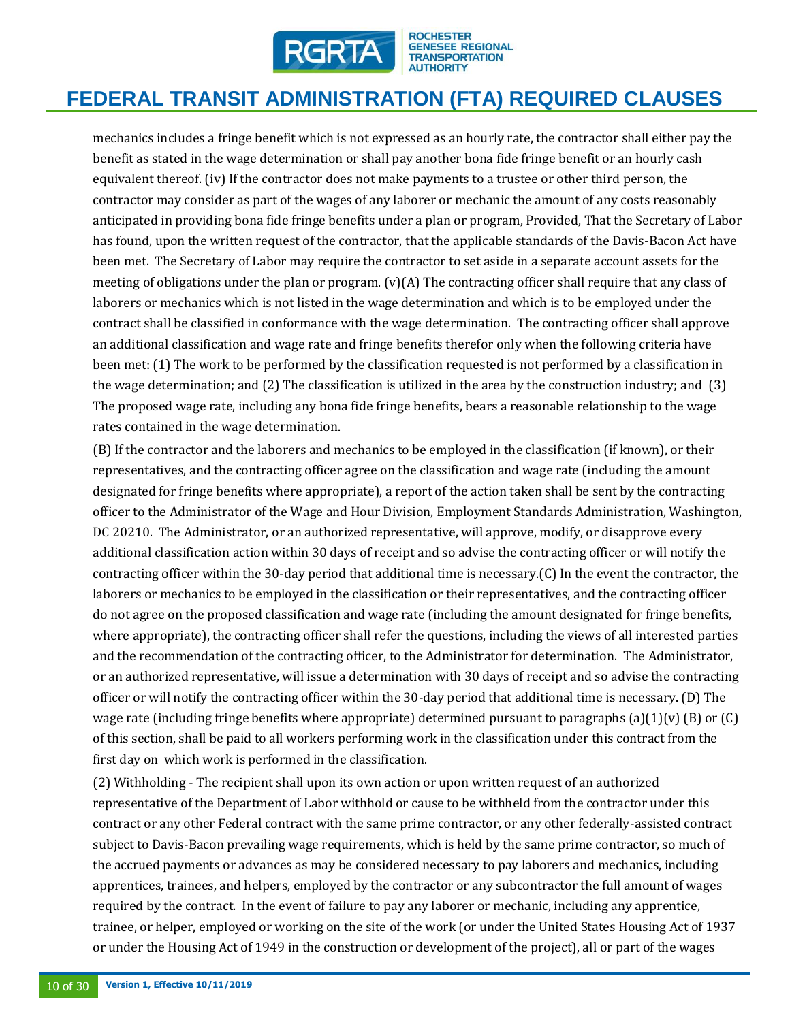

# **FEDERAL TRANSIT ADMINISTRATION (FTA) REQUIRED CLAUSES**

mechanics includes a fringe benefit which is not expressed as an hourly rate, the contractor shall either pay the benefit as stated in the wage determination or shall pay another bona fide fringe benefit or an hourly cash equivalent thereof. (iv) If the contractor does not make payments to a trustee or other third person, the contractor may consider as part of the wages of any laborer or mechanic the amount of any costs reasonably anticipated in providing bona fide fringe benefits under a plan or program, Provided, That the Secretary of Labor has found, upon the written request of the contractor, that the applicable standards of the Davis-Bacon Act have been met. The Secretary of Labor may require the contractor to set aside in a separate account assets for the meeting of obligations under the plan or program. (v)(A) The contracting officer shall require that any class of laborers or mechanics which is not listed in the wage determination and which is to be employed under the contract shall be classified in conformance with the wage determination. The contracting officer shall approve an additional classification and wage rate and fringe benefits therefor only when the following criteria have been met: (1) The work to be performed by the classification requested is not performed by a classification in the wage determination; and (2) The classification is utilized in the area by the construction industry; and (3) The proposed wage rate, including any bona fide fringe benefits, bears a reasonable relationship to the wage rates contained in the wage determination.

(B) If the contractor and the laborers and mechanics to be employed in the classification (if known), or their representatives, and the contracting officer agree on the classification and wage rate (including the amount designated for fringe benefits where appropriate), a report of the action taken shall be sent by the contracting officer to the Administrator of the Wage and Hour Division, Employment Standards Administration, Washington, DC 20210. The Administrator, or an authorized representative, will approve, modify, or disapprove every additional classification action within 30 days of receipt and so advise the contracting officer or will notify the contracting officer within the 30-day period that additional time is necessary.(C) In the event the contractor, the laborers or mechanics to be employed in the classification or their representatives, and the contracting officer do not agree on the proposed classification and wage rate (including the amount designated for fringe benefits, where appropriate), the contracting officer shall refer the questions, including the views of all interested parties and the recommendation of the contracting officer, to the Administrator for determination. The Administrator, or an authorized representative, will issue a determination with 30 days of receipt and so advise the contracting officer or will notify the contracting officer within the 30-day period that additional time is necessary. (D) The wage rate (including fringe benefits where appropriate) determined pursuant to paragraphs (a)(1)(v) (B) or (C) of this section, shall be paid to all workers performing work in the classification under this contract from the first day on which work is performed in the classification.

(2) Withholding - The recipient shall upon its own action or upon written request of an authorized representative of the Department of Labor withhold or cause to be withheld from the contractor under this contract or any other Federal contract with the same prime contractor, or any other federally-assisted contract subject to Davis-Bacon prevailing wage requirements, which is held by the same prime contractor, so much of the accrued payments or advances as may be considered necessary to pay laborers and mechanics, including apprentices, trainees, and helpers, employed by the contractor or any subcontractor the full amount of wages required by the contract. In the event of failure to pay any laborer or mechanic, including any apprentice, trainee, or helper, employed or working on the site of the work (or under the United States Housing Act of 1937 or under the Housing Act of 1949 in the construction or development of the project), all or part of the wages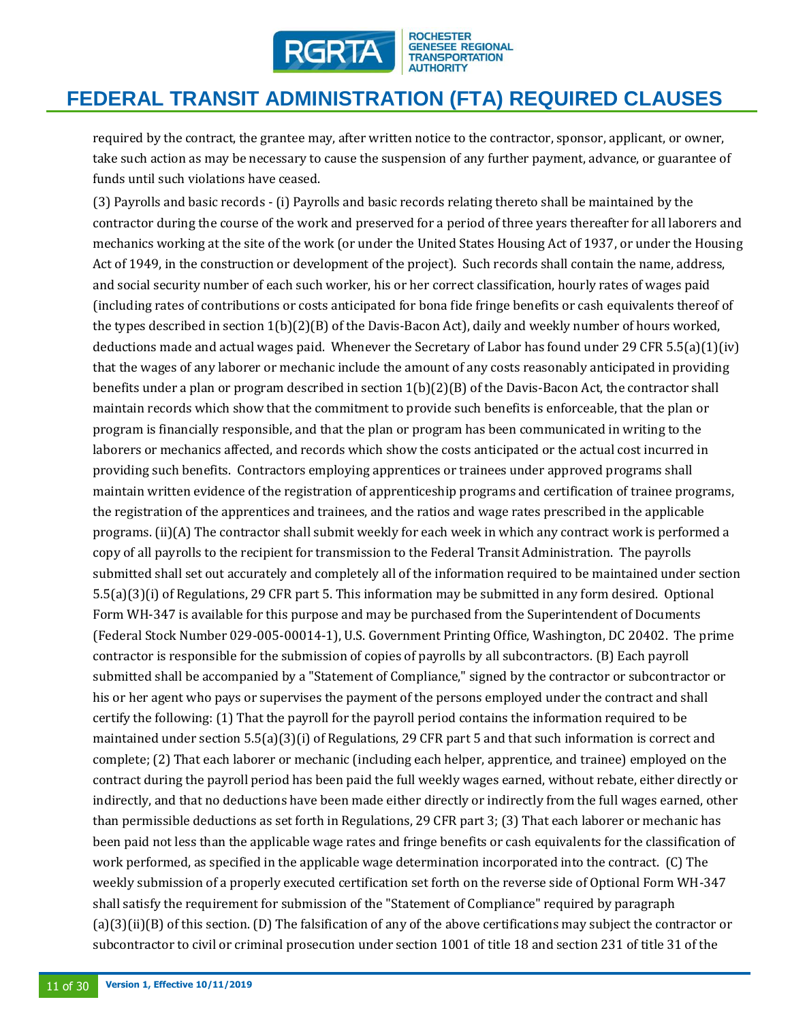

# **FEDERAL TRANSIT ADMINISTRATION (FTA) REQUIRED CLAUSES**

required by the contract, the grantee may, after written notice to the contractor, sponsor, applicant, or owner, take such action as may be necessary to cause the suspension of any further payment, advance, or guarantee of funds until such violations have ceased.

(3) Payrolls and basic records - (i) Payrolls and basic records relating thereto shall be maintained by the contractor during the course of the work and preserved for a period of three years thereafter for all laborers and mechanics working at the site of the work (or under the United States Housing Act of 1937, or under the Housing Act of 1949, in the construction or development of the project). Such records shall contain the name, address, and social security number of each such worker, his or her correct classification, hourly rates of wages paid (including rates of contributions or costs anticipated for bona fide fringe benefits or cash equivalents thereof of the types described in section 1(b)(2)(B) of the Davis-Bacon Act), daily and weekly number of hours worked, deductions made and actual wages paid. Whenever the Secretary of Labor has found under 29 CFR 5.5(a)(1)(iv) that the wages of any laborer or mechanic include the amount of any costs reasonably anticipated in providing benefits under a plan or program described in section 1(b)(2)(B) of the Davis-Bacon Act, the contractor shall maintain records which show that the commitment to provide such benefits is enforceable, that the plan or program is financially responsible, and that the plan or program has been communicated in writing to the laborers or mechanics affected, and records which show the costs anticipated or the actual cost incurred in providing such benefits. Contractors employing apprentices or trainees under approved programs shall maintain written evidence of the registration of apprenticeship programs and certification of trainee programs, the registration of the apprentices and trainees, and the ratios and wage rates prescribed in the applicable programs. (ii)(A) The contractor shall submit weekly for each week in which any contract work is performed a copy of all payrolls to the recipient for transmission to the Federal Transit Administration. The payrolls submitted shall set out accurately and completely all of the information required to be maintained under section 5.5(a)(3)(i) of Regulations, 29 CFR part 5. This information may be submitted in any form desired. Optional Form WH-347 is available for this purpose and may be purchased from the Superintendent of Documents (Federal Stock Number 029-005-00014-1), U.S. Government Printing Office, Washington, DC 20402. The prime contractor is responsible for the submission of copies of payrolls by all subcontractors. (B) Each payroll submitted shall be accompanied by a "Statement of Compliance," signed by the contractor or subcontractor or his or her agent who pays or supervises the payment of the persons employed under the contract and shall certify the following: (1) That the payroll for the payroll period contains the information required to be maintained under section 5.5(a)(3)(i) of Regulations, 29 CFR part 5 and that such information is correct and complete; (2) That each laborer or mechanic (including each helper, apprentice, and trainee) employed on the contract during the payroll period has been paid the full weekly wages earned, without rebate, either directly or indirectly, and that no deductions have been made either directly or indirectly from the full wages earned, other than permissible deductions as set forth in Regulations, 29 CFR part 3; (3) That each laborer or mechanic has been paid not less than the applicable wage rates and fringe benefits or cash equivalents for the classification of work performed, as specified in the applicable wage determination incorporated into the contract. (C) The weekly submission of a properly executed certification set forth on the reverse side of Optional Form WH-347 shall satisfy the requirement for submission of the "Statement of Compliance" required by paragraph (a)(3)(ii)(B) of this section. (D) The falsification of any of the above certifications may subject the contractor or subcontractor to civil or criminal prosecution under section 1001 of title 18 and section 231 of title 31 of the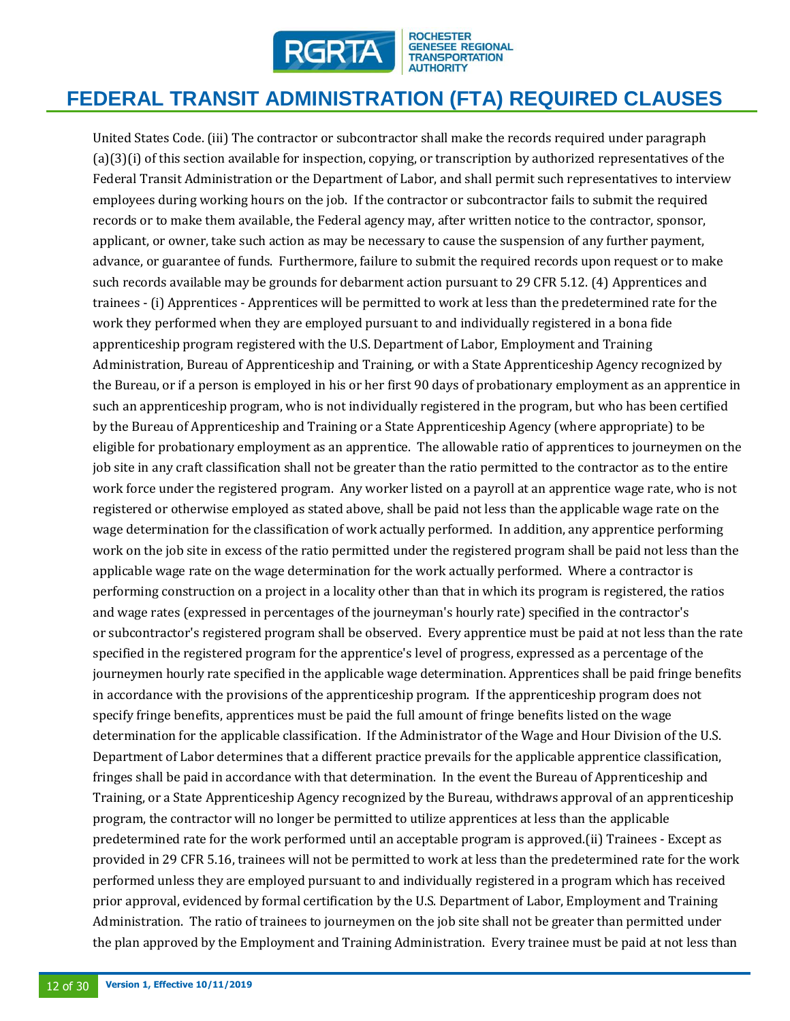

# **FEDERAL TRANSIT ADMINISTRATION (FTA) REQUIRED CLAUSES**

United States Code. (iii) The contractor or subcontractor shall make the records required under paragraph (a)(3)(i) of this section available for inspection, copying, or transcription by authorized representatives of the Federal Transit Administration or the Department of Labor, and shall permit such representatives to interview employees during working hours on the job. If the contractor or subcontractor fails to submit the required records or to make them available, the Federal agency may, after written notice to the contractor, sponsor, applicant, or owner, take such action as may be necessary to cause the suspension of any further payment, advance, or guarantee of funds. Furthermore, failure to submit the required records upon request or to make such records available may be grounds for debarment action pursuant to 29 CFR 5.12. (4) Apprentices and trainees - (i) Apprentices - Apprentices will be permitted to work at less than the predetermined rate for the work they performed when they are employed pursuant to and individually registered in a bona fide apprenticeship program registered with the U.S. Department of Labor, Employment and Training Administration, Bureau of Apprenticeship and Training, or with a State Apprenticeship Agency recognized by the Bureau, or if a person is employed in his or her first 90 days of probationary employment as an apprentice in such an apprenticeship program, who is not individually registered in the program, but who has been certified by the Bureau of Apprenticeship and Training or a State Apprenticeship Agency (where appropriate) to be eligible for probationary employment as an apprentice. The allowable ratio of apprentices to journeymen on the job site in any craft classification shall not be greater than the ratio permitted to the contractor as to the entire work force under the registered program. Any worker listed on a payroll at an apprentice wage rate, who is not registered or otherwise employed as stated above, shall be paid not less than the applicable wage rate on the wage determination for the classification of work actually performed. In addition, any apprentice performing work on the job site in excess of the ratio permitted under the registered program shall be paid not less than the applicable wage rate on the wage determination for the work actually performed. Where a contractor is performing construction on a project in a locality other than that in which its program is registered, the ratios and wage rates (expressed in percentages of the journeyman's hourly rate) specified in the contractor's or subcontractor's registered program shall be observed. Every apprentice must be paid at not less than the rate specified in the registered program for the apprentice's level of progress, expressed as a percentage of the journeymen hourly rate specified in the applicable wage determination. Apprentices shall be paid fringe benefits in accordance with the provisions of the apprenticeship program. If the apprenticeship program does not specify fringe benefits, apprentices must be paid the full amount of fringe benefits listed on the wage determination for the applicable classification. If the Administrator of the Wage and Hour Division of the U.S. Department of Labor determines that a different practice prevails for the applicable apprentice classification, fringes shall be paid in accordance with that determination. In the event the Bureau of Apprenticeship and Training, or a State Apprenticeship Agency recognized by the Bureau, withdraws approval of an apprenticeship program, the contractor will no longer be permitted to utilize apprentices at less than the applicable predetermined rate for the work performed until an acceptable program is approved.(ii) Trainees - Except as provided in 29 CFR 5.16, trainees will not be permitted to work at less than the predetermined rate for the work performed unless they are employed pursuant to and individually registered in a program which has received prior approval, evidenced by formal certification by the U.S. Department of Labor, Employment and Training Administration. The ratio of trainees to journeymen on the job site shall not be greater than permitted under the plan approved by the Employment and Training Administration. Every trainee must be paid at not less than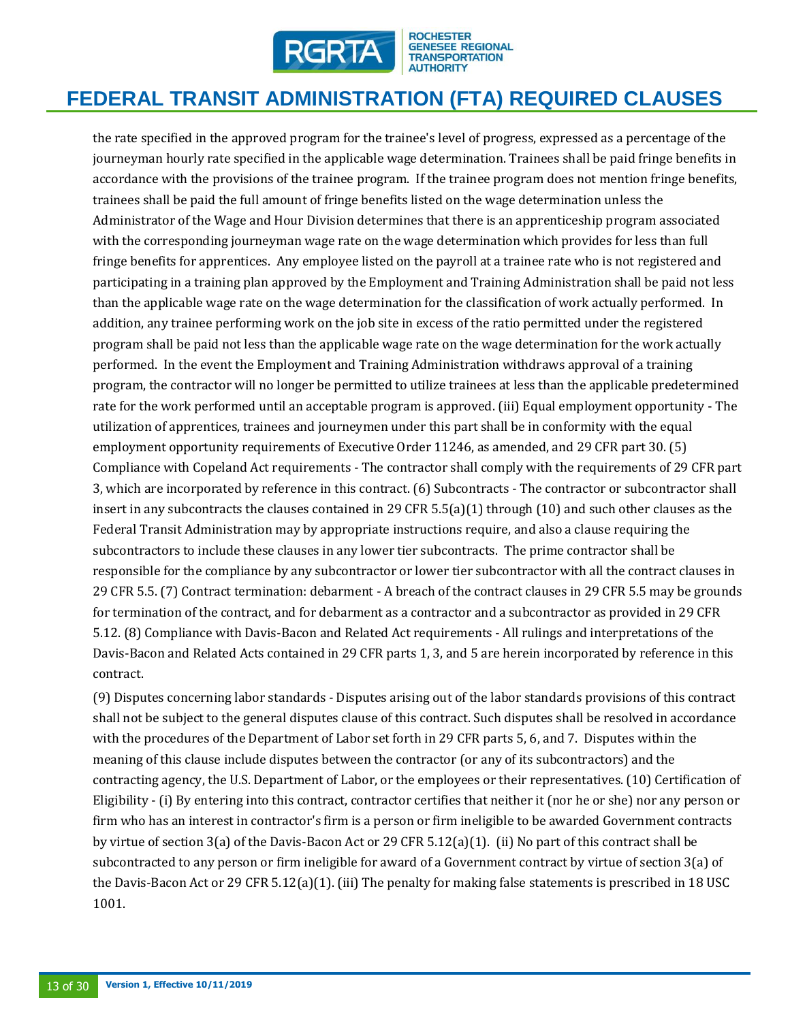

# **FEDERAL TRANSIT ADMINISTRATION (FTA) REQUIRED CLAUSES**

the rate specified in the approved program for the trainee's level of progress, expressed as a percentage of the journeyman hourly rate specified in the applicable wage determination. Trainees shall be paid fringe benefits in accordance with the provisions of the trainee program. If the trainee program does not mention fringe benefits, trainees shall be paid the full amount of fringe benefits listed on the wage determination unless the Administrator of the Wage and Hour Division determines that there is an apprenticeship program associated with the corresponding journeyman wage rate on the wage determination which provides for less than full fringe benefits for apprentices. Any employee listed on the payroll at a trainee rate who is not registered and participating in a training plan approved by the Employment and Training Administration shall be paid not less than the applicable wage rate on the wage determination for the classification of work actually performed. In addition, any trainee performing work on the job site in excess of the ratio permitted under the registered program shall be paid not less than the applicable wage rate on the wage determination for the work actually performed. In the event the Employment and Training Administration withdraws approval of a training program, the contractor will no longer be permitted to utilize trainees at less than the applicable predetermined rate for the work performed until an acceptable program is approved. (iii) Equal employment opportunity - The utilization of apprentices, trainees and journeymen under this part shall be in conformity with the equal employment opportunity requirements of Executive Order 11246, as amended, and 29 CFR part 30. (5) Compliance with Copeland Act requirements - The contractor shall comply with the requirements of 29 CFR part 3, which are incorporated by reference in this contract. (6) Subcontracts - The contractor or subcontractor shall insert in any subcontracts the clauses contained in 29 CFR  $5.5(a)(1)$  through (10) and such other clauses as the Federal Transit Administration may by appropriate instructions require, and also a clause requiring the subcontractors to include these clauses in any lower tier subcontracts. The prime contractor shall be responsible for the compliance by any subcontractor or lower tier subcontractor with all the contract clauses in 29 CFR 5.5. (7) Contract termination: debarment - A breach of the contract clauses in 29 CFR 5.5 may be grounds for termination of the contract, and for debarment as a contractor and a subcontractor as provided in 29 CFR 5.12. (8) Compliance with Davis-Bacon and Related Act requirements - All rulings and interpretations of the Davis-Bacon and Related Acts contained in 29 CFR parts 1, 3, and 5 are herein incorporated by reference in this contract.

(9) Disputes concerning labor standards - Disputes arising out of the labor standards provisions of this contract shall not be subject to the general disputes clause of this contract. Such disputes shall be resolved in accordance with the procedures of the Department of Labor set forth in 29 CFR parts 5, 6, and 7. Disputes within the meaning of this clause include disputes between the contractor (or any of its subcontractors) and the contracting agency, the U.S. Department of Labor, or the employees or their representatives. (10) Certification of Eligibility - (i) By entering into this contract, contractor certifies that neither it (nor he or she) nor any person or firm who has an interest in contractor's firm is a person or firm ineligible to be awarded Government contracts by virtue of section 3(a) of the Davis-Bacon Act or 29 CFR 5.12(a)(1). (ii) No part of this contract shall be subcontracted to any person or firm ineligible for award of a Government contract by virtue of section 3(a) of the Davis-Bacon Act or 29 CFR 5.12(a)(1). (iii) The penalty for making false statements is prescribed in 18 USC 1001.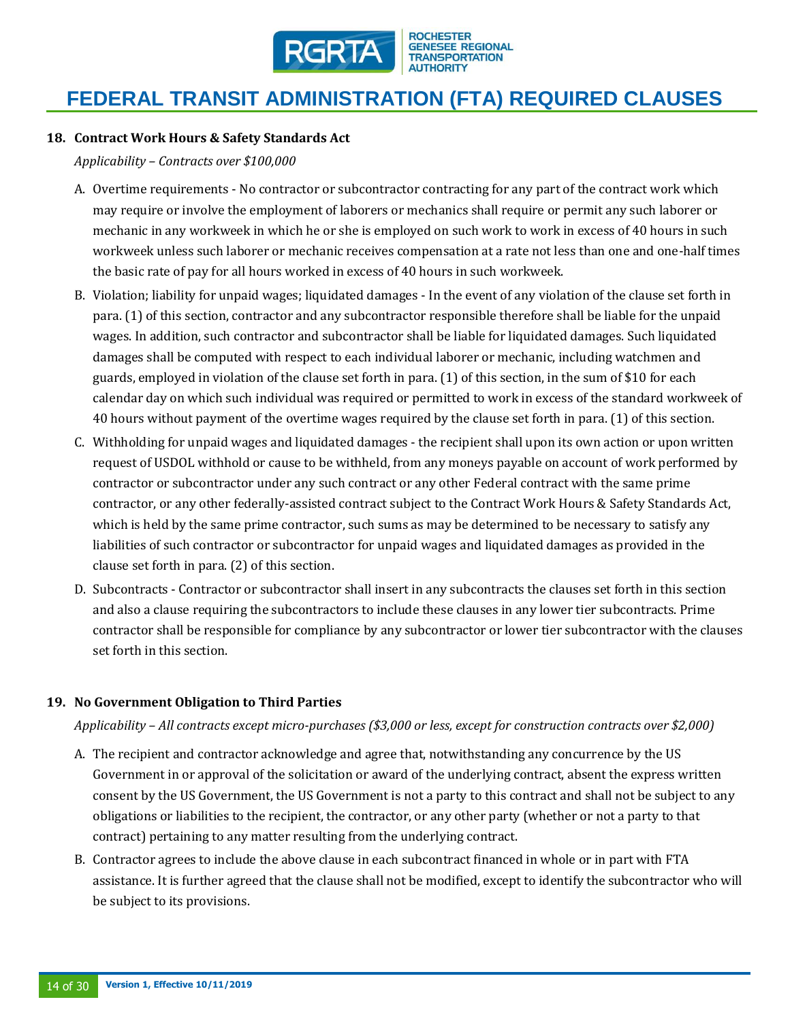

#### **18. Contract Work Hours & Safety Standards Act**

*Applicability – Contracts over \$100,000* 

- A. Overtime requirements No contractor or subcontractor contracting for any part of the contract work which may require or involve the employment of laborers or mechanics shall require or permit any such laborer or mechanic in any workweek in which he or she is employed on such work to work in excess of 40 hours in such workweek unless such laborer or mechanic receives compensation at a rate not less than one and one-half times the basic rate of pay for all hours worked in excess of 40 hours in such workweek.
- B. Violation; liability for unpaid wages; liquidated damages In the event of any violation of the clause set forth in para. (1) of this section, contractor and any subcontractor responsible therefore shall be liable for the unpaid wages. In addition, such contractor and subcontractor shall be liable for liquidated damages. Such liquidated damages shall be computed with respect to each individual laborer or mechanic, including watchmen and guards, employed in violation of the clause set forth in para. (1) of this section, in the sum of \$10 for each calendar day on which such individual was required or permitted to work in excess of the standard workweek of 40 hours without payment of the overtime wages required by the clause set forth in para. (1) of this section.
- C. Withholding for unpaid wages and liquidated damages the recipient shall upon its own action or upon written request of USDOL withhold or cause to be withheld, from any moneys payable on account of work performed by contractor or subcontractor under any such contract or any other Federal contract with the same prime contractor, or any other federally-assisted contract subject to the Contract Work Hours & Safety Standards Act, which is held by the same prime contractor, such sums as may be determined to be necessary to satisfy any liabilities of such contractor or subcontractor for unpaid wages and liquidated damages as provided in the clause set forth in para. (2) of this section.
- D. Subcontracts Contractor or subcontractor shall insert in any subcontracts the clauses set forth in this section and also a clause requiring the subcontractors to include these clauses in any lower tier subcontracts. Prime contractor shall be responsible for compliance by any subcontractor or lower tier subcontractor with the clauses set forth in this section.

#### **19. No Government Obligation to Third Parties**

*Applicability – All contracts except micro-purchases (\$3,000 or less, except for construction contracts over \$2,000)*

- A. The recipient and contractor acknowledge and agree that, notwithstanding any concurrence by the US Government in or approval of the solicitation or award of the underlying contract, absent the express written consent by the US Government, the US Government is not a party to this contract and shall not be subject to any obligations or liabilities to the recipient, the contractor, or any other party (whether or not a party to that contract) pertaining to any matter resulting from the underlying contract.
- B. Contractor agrees to include the above clause in each subcontract financed in whole or in part with FTA assistance. It is further agreed that the clause shall not be modified, except to identify the subcontractor who will be subject to its provisions.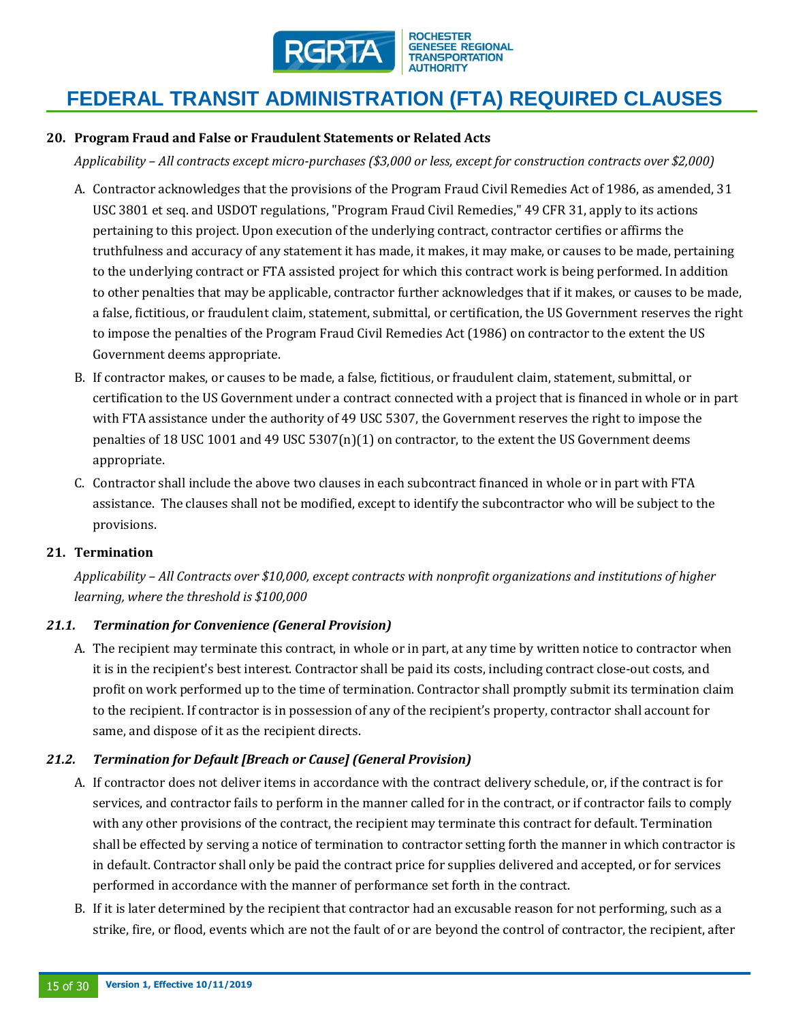

#### **20. Program Fraud and False or Fraudulent Statements or Related Acts**

*Applicability – All contracts except micro-purchases (\$3,000 or less, except for construction contracts over \$2,000)*

- A. Contractor acknowledges that the provisions of the Program Fraud Civil Remedies Act of 1986, as amended, 31 USC 3801 et seq. and USDOT regulations, "Program Fraud Civil Remedies," 49 CFR 31, apply to its actions pertaining to this project. Upon execution of the underlying contract, contractor certifies or affirms the truthfulness and accuracy of any statement it has made, it makes, it may make, or causes to be made, pertaining to the underlying contract or FTA assisted project for which this contract work is being performed. In addition to other penalties that may be applicable, contractor further acknowledges that if it makes, or causes to be made, a false, fictitious, or fraudulent claim, statement, submittal, or certification, the US Government reserves the right to impose the penalties of the Program Fraud Civil Remedies Act (1986) on contractor to the extent the US Government deems appropriate.
- B. If contractor makes, or causes to be made, a false, fictitious, or fraudulent claim, statement, submittal, or certification to the US Government under a contract connected with a project that is financed in whole or in part with FTA assistance under the authority of 49 USC 5307, the Government reserves the right to impose the penalties of 18 USC 1001 and 49 USC 5307(n)(1) on contractor, to the extent the US Government deems appropriate.
- C. Contractor shall include the above two clauses in each subcontract financed in whole or in part with FTA assistance. The clauses shall not be modified, except to identify the subcontractor who will be subject to the provisions.

#### **21. Termination**

*Applicability – All Contracts over \$10,000, except contracts with nonprofit organizations and institutions of higher learning, where the threshold is \$100,000* 

#### *21.1. Termination for Convenience (General Provision)*

A. The recipient may terminate this contract, in whole or in part, at any time by written notice to contractor when it is in the recipient's best interest. Contractor shall be paid its costs, including contract close-out costs, and profit on work performed up to the time of termination. Contractor shall promptly submit its termination claim to the recipient. If contractor is in possession of any of the recipient's property, contractor shall account for same, and dispose of it as the recipient directs.

### *21.2. Termination for Default [Breach or Cause] (General Provision)*

- A. If contractor does not deliver items in accordance with the contract delivery schedule, or, if the contract is for services, and contractor fails to perform in the manner called for in the contract, or if contractor fails to comply with any other provisions of the contract, the recipient may terminate this contract for default. Termination shall be effected by serving a notice of termination to contractor setting forth the manner in which contractor is in default. Contractor shall only be paid the contract price for supplies delivered and accepted, or for services performed in accordance with the manner of performance set forth in the contract.
- B. If it is later determined by the recipient that contractor had an excusable reason for not performing, such as a strike, fire, or flood, events which are not the fault of or are beyond the control of contractor, the recipient, after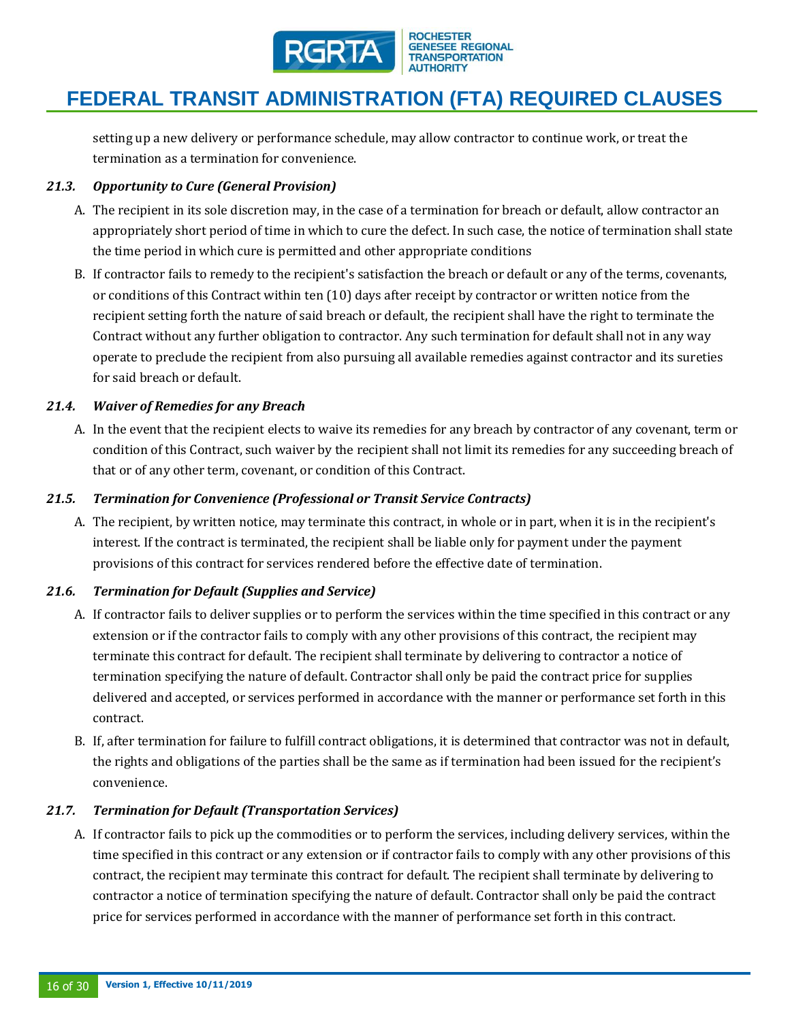

setting up a new delivery or performance schedule, may allow contractor to continue work, or treat the termination as a termination for convenience.

# *21.3. Opportunity to Cure (General Provision)*

- A. The recipient in its sole discretion may, in the case of a termination for breach or default, allow contractor an appropriately short period of time in which to cure the defect. In such case, the notice of termination shall state the time period in which cure is permitted and other appropriate conditions
- B. If contractor fails to remedy to the recipient's satisfaction the breach or default or any of the terms, covenants, or conditions of this Contract within ten (10) days after receipt by contractor or written notice from the recipient setting forth the nature of said breach or default, the recipient shall have the right to terminate the Contract without any further obligation to contractor. Any such termination for default shall not in any way operate to preclude the recipient from also pursuing all available remedies against contractor and its sureties for said breach or default.

### *21.4. Waiver of Remedies for any Breach*

A. In the event that the recipient elects to waive its remedies for any breach by contractor of any covenant, term or condition of this Contract, such waiver by the recipient shall not limit its remedies for any succeeding breach of that or of any other term, covenant, or condition of this Contract.

### *21.5. Termination for Convenience (Professional or Transit Service Contracts)*

A. The recipient, by written notice, may terminate this contract, in whole or in part, when it is in the recipient's interest. If the contract is terminated, the recipient shall be liable only for payment under the payment provisions of this contract for services rendered before the effective date of termination.

# *21.6. Termination for Default (Supplies and Service)*

- A. If contractor fails to deliver supplies or to perform the services within the time specified in this contract or any extension or if the contractor fails to comply with any other provisions of this contract, the recipient may terminate this contract for default. The recipient shall terminate by delivering to contractor a notice of termination specifying the nature of default. Contractor shall only be paid the contract price for supplies delivered and accepted, or services performed in accordance with the manner or performance set forth in this contract.
- B. If, after termination for failure to fulfill contract obligations, it is determined that contractor was not in default, the rights and obligations of the parties shall be the same as if termination had been issued for the recipient's convenience.

### *21.7. Termination for Default (Transportation Services)*

A. If contractor fails to pick up the commodities or to perform the services, including delivery services, within the time specified in this contract or any extension or if contractor fails to comply with any other provisions of this contract, the recipient may terminate this contract for default. The recipient shall terminate by delivering to contractor a notice of termination specifying the nature of default. Contractor shall only be paid the contract price for services performed in accordance with the manner of performance set forth in this contract.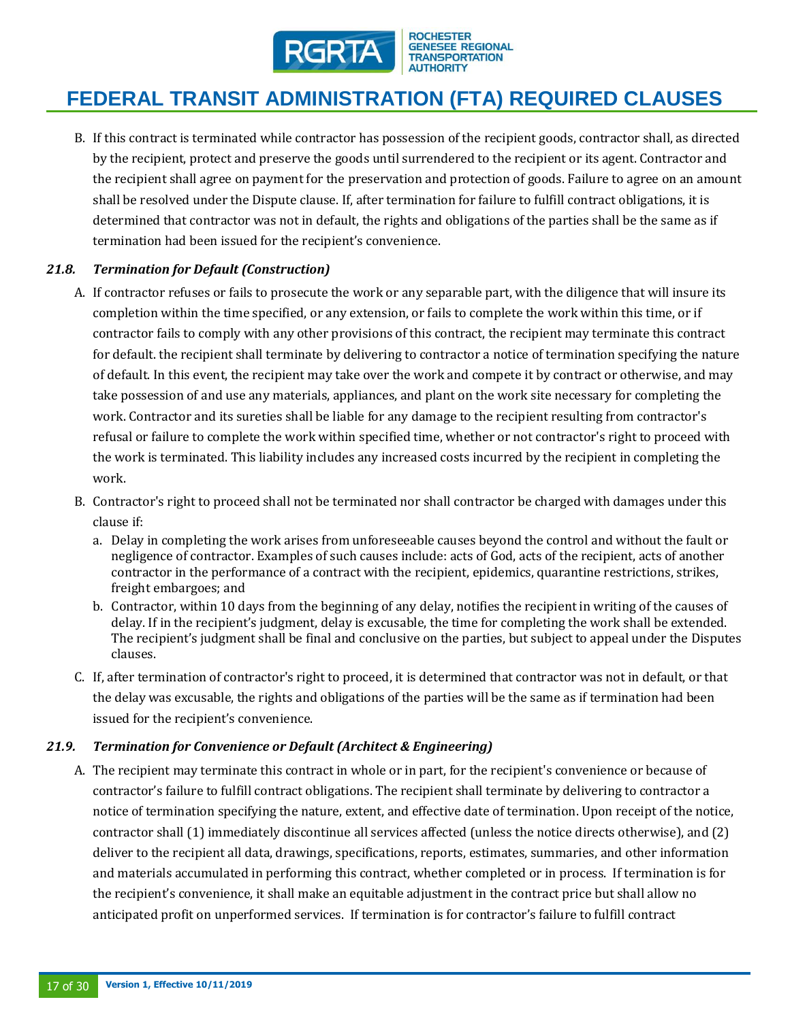

B. If this contract is terminated while contractor has possession of the recipient goods, contractor shall, as directed by the recipient, protect and preserve the goods until surrendered to the recipient or its agent. Contractor and the recipient shall agree on payment for the preservation and protection of goods. Failure to agree on an amount shall be resolved under the Dispute clause. If, after termination for failure to fulfill contract obligations, it is determined that contractor was not in default, the rights and obligations of the parties shall be the same as if termination had been issued for the recipient's convenience.

# *21.8. Termination for Default (Construction)*

- A. If contractor refuses or fails to prosecute the work or any separable part, with the diligence that will insure its completion within the time specified, or any extension, or fails to complete the work within this time, or if contractor fails to comply with any other provisions of this contract, the recipient may terminate this contract for default. the recipient shall terminate by delivering to contractor a notice of termination specifying the nature of default. In this event, the recipient may take over the work and compete it by contract or otherwise, and may take possession of and use any materials, appliances, and plant on the work site necessary for completing the work. Contractor and its sureties shall be liable for any damage to the recipient resulting from contractor's refusal or failure to complete the work within specified time, whether or not contractor's right to proceed with the work is terminated. This liability includes any increased costs incurred by the recipient in completing the work.
- B. Contractor's right to proceed shall not be terminated nor shall contractor be charged with damages under this clause if:
	- a. Delay in completing the work arises from unforeseeable causes beyond the control and without the fault or negligence of contractor. Examples of such causes include: acts of God, acts of the recipient, acts of another contractor in the performance of a contract with the recipient, epidemics, quarantine restrictions, strikes, freight embargoes; and
	- b. Contractor, within 10 days from the beginning of any delay, notifies the recipient in writing of the causes of delay. If in the recipient's judgment, delay is excusable, the time for completing the work shall be extended. The recipient's judgment shall be final and conclusive on the parties, but subject to appeal under the Disputes clauses.
- C. If, after termination of contractor's right to proceed, it is determined that contractor was not in default, or that the delay was excusable, the rights and obligations of the parties will be the same as if termination had been issued for the recipient's convenience.

### *21.9. Termination for Convenience or Default (Architect & Engineering)*

A. The recipient may terminate this contract in whole or in part, for the recipient's convenience or because of contractor's failure to fulfill contract obligations. The recipient shall terminate by delivering to contractor a notice of termination specifying the nature, extent, and effective date of termination. Upon receipt of the notice, contractor shall (1) immediately discontinue all services affected (unless the notice directs otherwise), and (2) deliver to the recipient all data, drawings, specifications, reports, estimates, summaries, and other information and materials accumulated in performing this contract, whether completed or in process. If termination is for the recipient's convenience, it shall make an equitable adjustment in the contract price but shall allow no anticipated profit on unperformed services. If termination is for contractor's failure to fulfill contract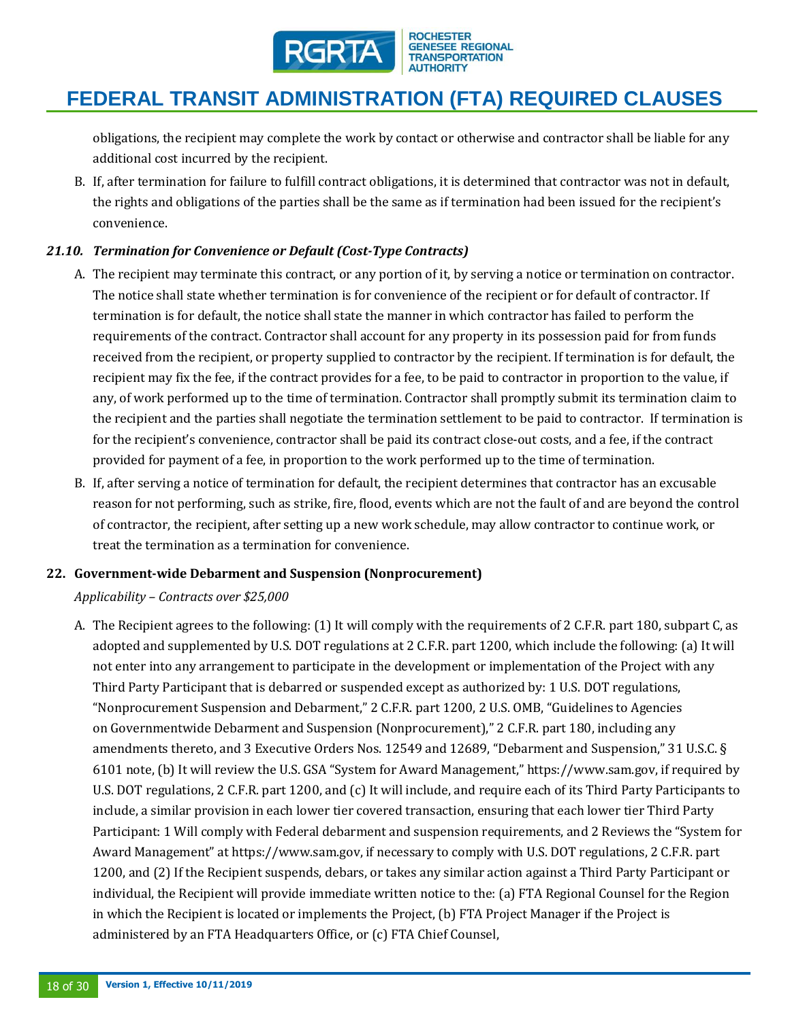

obligations, the recipient may complete the work by contact or otherwise and contractor shall be liable for any additional cost incurred by the recipient.

B. If, after termination for failure to fulfill contract obligations, it is determined that contractor was not in default, the rights and obligations of the parties shall be the same as if termination had been issued for the recipient's convenience.

# *21.10. Termination for Convenience or Default (Cost-Type Contracts)*

- A. The recipient may terminate this contract, or any portion of it, by serving a notice or termination on contractor. The notice shall state whether termination is for convenience of the recipient or for default of contractor. If termination is for default, the notice shall state the manner in which contractor has failed to perform the requirements of the contract. Contractor shall account for any property in its possession paid for from funds received from the recipient, or property supplied to contractor by the recipient. If termination is for default, the recipient may fix the fee, if the contract provides for a fee, to be paid to contractor in proportion to the value, if any, of work performed up to the time of termination. Contractor shall promptly submit its termination claim to the recipient and the parties shall negotiate the termination settlement to be paid to contractor. If termination is for the recipient's convenience, contractor shall be paid its contract close-out costs, and a fee, if the contract provided for payment of a fee, in proportion to the work performed up to the time of termination.
- B. If, after serving a notice of termination for default, the recipient determines that contractor has an excusable reason for not performing, such as strike, fire, flood, events which are not the fault of and are beyond the control of contractor, the recipient, after setting up a new work schedule, may allow contractor to continue work, or treat the termination as a termination for convenience.

### **22. Government-wide Debarment and Suspension (Nonprocurement)**

### *Applicability – Contracts over \$25,000*

A. The Recipient agrees to the following: (1) It will comply with the requirements of 2 C.F.R. part 180, subpart C, as adopted and supplemented by U.S. DOT regulations at 2 C.F.R. part 1200, which include the following: (a) It will not enter into any arrangement to participate in the development or implementation of the Project with any Third Party Participant that is debarred or suspended except as authorized by: 1 U.S. DOT regulations, "Nonprocurement Suspension and Debarment," 2 C.F.R. part 1200, 2 U.S. OMB, "Guidelines to Agencies on Governmentwide Debarment and Suspension (Nonprocurement)," 2 C.F.R. part 180, including any amendments thereto, and 3 Executive Orders Nos. 12549 and 12689, "Debarment and Suspension," 31 U.S.C. § 6101 note, (b) It will review the U.S. GSA "System for Award Management," https://www.sam.gov, if required by U.S. DOT regulations, 2 C.F.R. part 1200, and (c) It will include, and require each of its Third Party Participants to include, a similar provision in each lower tier covered transaction, ensuring that each lower tier Third Party Participant: 1 Will comply with Federal debarment and suspension requirements, and 2 Reviews the "System for Award Management" at https://www.sam.gov, if necessary to comply with U.S. DOT regulations, 2 C.F.R. part 1200, and (2) If the Recipient suspends, debars, or takes any similar action against a Third Party Participant or individual, the Recipient will provide immediate written notice to the: (a) FTA Regional Counsel for the Region in which the Recipient is located or implements the Project, (b) FTA Project Manager if the Project is administered by an FTA Headquarters Office, or (c) FTA Chief Counsel,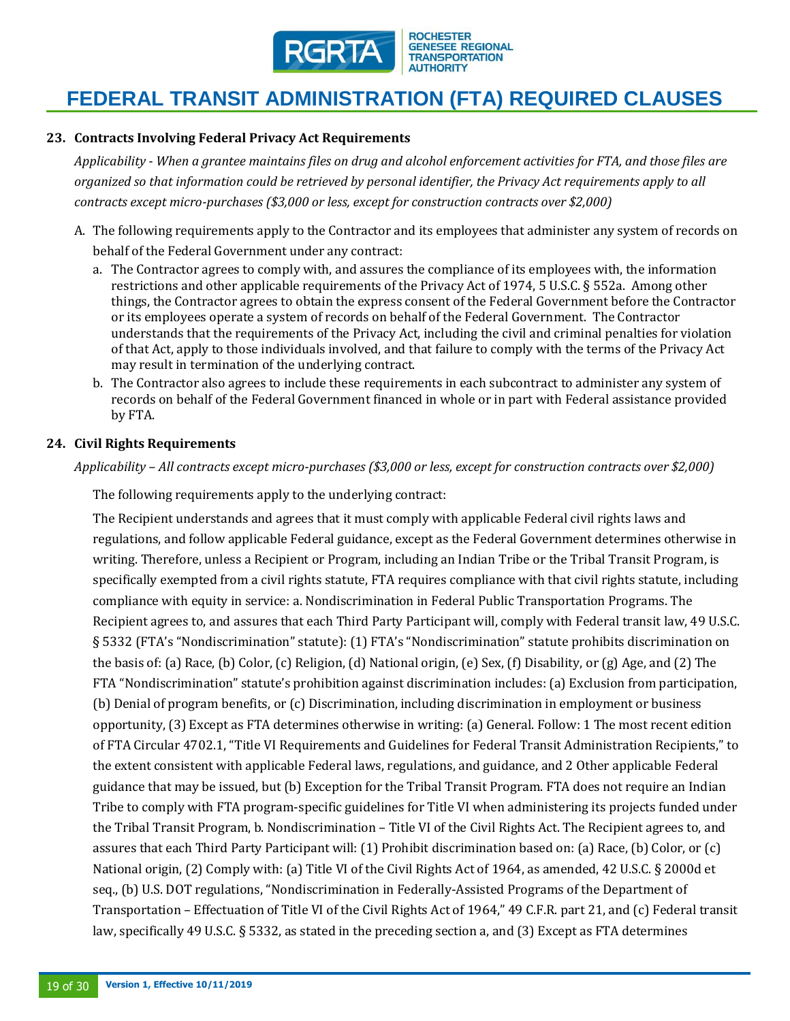

#### **23. Contracts Involving Federal Privacy Act Requirements**

*Applicability - When a grantee maintains files on drug and alcohol enforcement activities for FTA, and those files are organized so that information could be retrieved by personal identifier, the Privacy Act requirements apply to all contracts except micro-purchases (\$3,000 or less, except for construction contracts over \$2,000)*

- A. The following requirements apply to the Contractor and its employees that administer any system of records on behalf of the Federal Government under any contract:
	- a. The Contractor agrees to comply with, and assures the compliance of its employees with, the information restrictions and other applicable requirements of the Privacy Act of 1974, 5 U.S.C. § 552a. Among other things, the Contractor agrees to obtain the express consent of the Federal Government before the Contractor or its employees operate a system of records on behalf of the Federal Government. The Contractor understands that the requirements of the Privacy Act, including the civil and criminal penalties for violation of that Act, apply to those individuals involved, and that failure to comply with the terms of the Privacy Act may result in termination of the underlying contract.
	- b. The Contractor also agrees to include these requirements in each subcontract to administer any system of records on behalf of the Federal Government financed in whole or in part with Federal assistance provided by FTA.

#### **24. Civil Rights Requirements**

*Applicability – All contracts except micro-purchases (\$3,000 or less, except for construction contracts over \$2,000)*

The following requirements apply to the underlying contract:

The Recipient understands and agrees that it must comply with applicable Federal civil rights laws and regulations, and follow applicable Federal guidance, except as the Federal Government determines otherwise in writing. Therefore, unless a Recipient or Program, including an Indian Tribe or the Tribal Transit Program, is specifically exempted from a civil rights statute, FTA requires compliance with that civil rights statute, including compliance with equity in service: a. Nondiscrimination in Federal Public Transportation Programs. The Recipient agrees to, and assures that each Third Party Participant will, comply with Federal transit law, 49 U.S.C. § 5332 (FTA's "Nondiscrimination" statute): (1) FTA's "Nondiscrimination" statute prohibits discrimination on the basis of: (a) Race, (b) Color, (c) Religion, (d) National origin, (e) Sex, (f) Disability, or (g) Age, and (2) The FTA "Nondiscrimination" statute's prohibition against discrimination includes: (a) Exclusion from participation, (b) Denial of program benefits, or (c) Discrimination, including discrimination in employment or business opportunity, (3) Except as FTA determines otherwise in writing: (a) General. Follow: 1 The most recent edition of FTA Circular 4702.1, "Title VI Requirements and Guidelines for Federal Transit Administration Recipients," to the extent consistent with applicable Federal laws, regulations, and guidance, and 2 Other applicable Federal guidance that may be issued, but (b) Exception for the Tribal Transit Program. FTA does not require an Indian Tribe to comply with FTA program-specific guidelines for Title VI when administering its projects funded under the Tribal Transit Program, b. Nondiscrimination – Title VI of the Civil Rights Act. The Recipient agrees to, and assures that each Third Party Participant will: (1) Prohibit discrimination based on: (a) Race, (b) Color, or (c) National origin, (2) Comply with: (a) Title VI of the Civil Rights Act of 1964, as amended, 42 U.S.C. § 2000d et seq., (b) U.S. DOT regulations, "Nondiscrimination in Federally-Assisted Programs of the Department of Transportation – Effectuation of Title VI of the Civil Rights Act of 1964," 49 C.F.R. part 21, and (c) Federal transit law, specifically 49 U.S.C. § 5332, as stated in the preceding section a, and (3) Except as FTA determines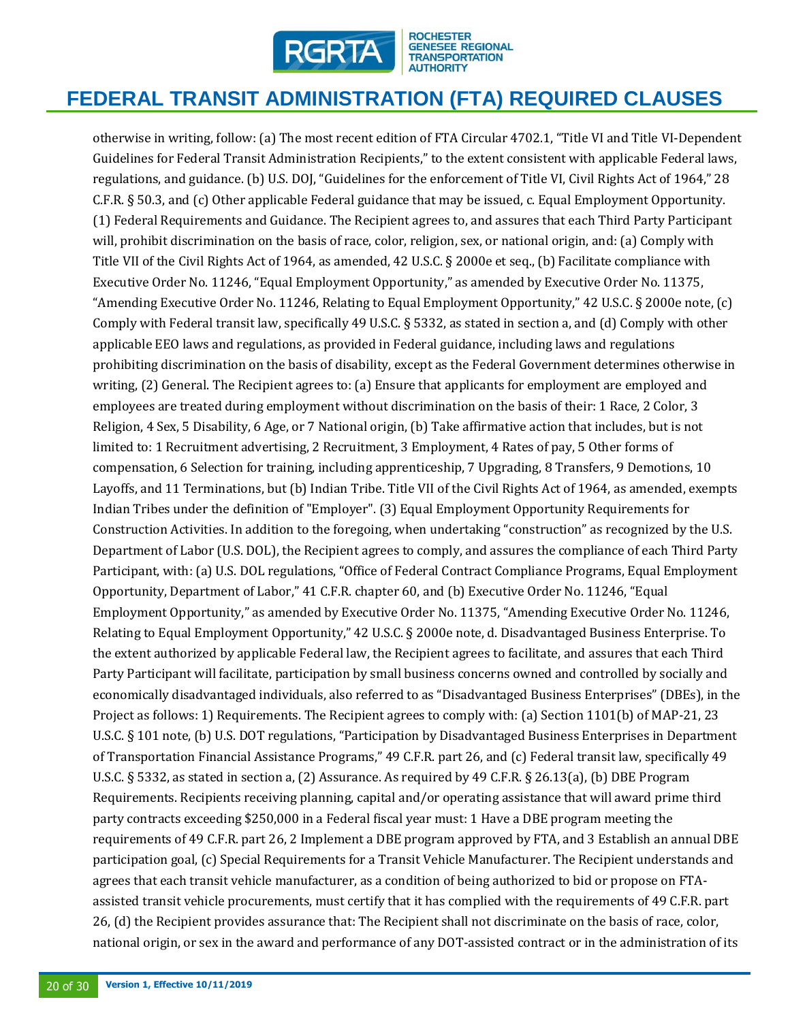

otherwise in writing, follow: (a) The most recent edition of FTA Circular 4702.1, "Title VI and Title VI-Dependent Guidelines for Federal Transit Administration Recipients," to the extent consistent with applicable Federal laws, regulations, and guidance. (b) U.S. DOJ, "Guidelines for the enforcement of Title VI, Civil Rights Act of 1964," 28 C.F.R. § 50.3, and (c) Other applicable Federal guidance that may be issued, c. Equal Employment Opportunity. (1) Federal Requirements and Guidance. The Recipient agrees to, and assures that each Third Party Participant will, prohibit discrimination on the basis of race, color, religion, sex, or national origin, and: (a) Comply with Title VII of the Civil Rights Act of 1964, as amended, 42 U.S.C. § 2000e et seq., (b) Facilitate compliance with Executive Order No. 11246, "Equal Employment Opportunity," as amended by Executive Order No. 11375, "Amending Executive Order No. 11246, Relating to Equal Employment Opportunity," 42 U.S.C. § 2000e note, (c) Comply with Federal transit law, specifically 49 U.S.C. § 5332, as stated in section a, and (d) Comply with other applicable EEO laws and regulations, as provided in Federal guidance, including laws and regulations prohibiting discrimination on the basis of disability, except as the Federal Government determines otherwise in writing, (2) General. The Recipient agrees to: (a) Ensure that applicants for employment are employed and employees are treated during employment without discrimination on the basis of their: 1 Race, 2 Color, 3 Religion, 4 Sex, 5 Disability, 6 Age, or 7 National origin, (b) Take affirmative action that includes, but is not limited to: 1 Recruitment advertising, 2 Recruitment, 3 Employment, 4 Rates of pay, 5 Other forms of compensation, 6 Selection for training, including apprenticeship, 7 Upgrading, 8 Transfers, 9 Demotions, 10 Layoffs, and 11 Terminations, but (b) Indian Tribe. Title VII of the Civil Rights Act of 1964, as amended, exempts Indian Tribes under the definition of "Employer". (3) Equal Employment Opportunity Requirements for Construction Activities. In addition to the foregoing, when undertaking "construction" as recognized by the U.S. Department of Labor (U.S. DOL), the Recipient agrees to comply, and assures the compliance of each Third Party Participant, with: (a) U.S. DOL regulations, "Office of Federal Contract Compliance Programs, Equal Employment Opportunity, Department of Labor," 41 C.F.R. chapter 60, and (b) Executive Order No. 11246, "Equal Employment Opportunity," as amended by Executive Order No. 11375, "Amending Executive Order No. 11246, Relating to Equal Employment Opportunity," 42 U.S.C. § 2000e note, d. Disadvantaged Business Enterprise. To the extent authorized by applicable Federal law, the Recipient agrees to facilitate, and assures that each Third Party Participant will facilitate, participation by small business concerns owned and controlled by socially and economically disadvantaged individuals, also referred to as "Disadvantaged Business Enterprises" (DBEs), in the Project as follows: 1) Requirements. The Recipient agrees to comply with: (a) Section 1101(b) of MAP-21, 23 U.S.C. § 101 note, (b) U.S. DOT regulations, "Participation by Disadvantaged Business Enterprises in Department of Transportation Financial Assistance Programs," 49 C.F.R. part 26, and (c) Federal transit law, specifically 49 U.S.C. § 5332, as stated in section a, (2) Assurance. As required by 49 C.F.R. § 26.13(a), (b) DBE Program Requirements. Recipients receiving planning, capital and/or operating assistance that will award prime third party contracts exceeding \$250,000 in a Federal fiscal year must: 1 Have a DBE program meeting the requirements of 49 C.F.R. part 26, 2 Implement a DBE program approved by FTA, and 3 Establish an annual DBE participation goal, (c) Special Requirements for a Transit Vehicle Manufacturer. The Recipient understands and agrees that each transit vehicle manufacturer, as a condition of being authorized to bid or propose on FTAassisted transit vehicle procurements, must certify that it has complied with the requirements of 49 C.F.R. part 26, (d) the Recipient provides assurance that: The Recipient shall not discriminate on the basis of race, color, national origin, or sex in the award and performance of any DOT-assisted contract or in the administration of its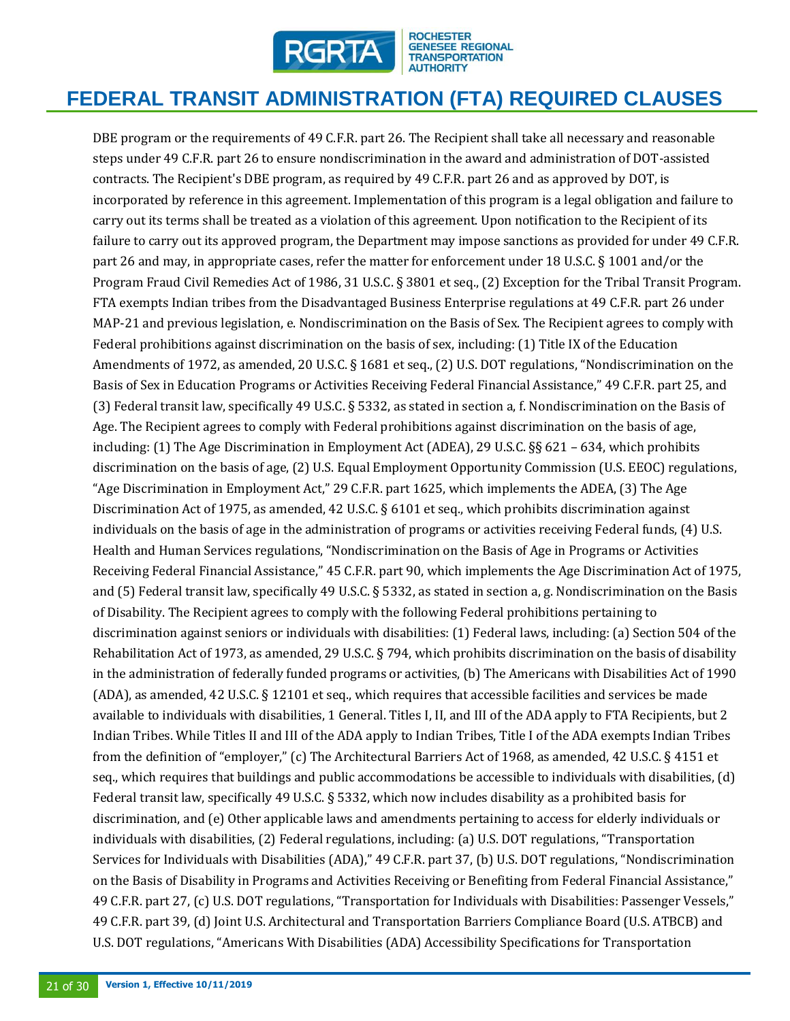

DBE program or the requirements of 49 C.F.R. part 26. The Recipient shall take all necessary and reasonable steps under 49 C.F.R. part 26 to ensure nondiscrimination in the award and administration of DOT-assisted contracts. The Recipient's DBE program, as required by 49 C.F.R. part 26 and as approved by DOT, is incorporated by reference in this agreement. Implementation of this program is a legal obligation and failure to carry out its terms shall be treated as a violation of this agreement. Upon notification to the Recipient of its failure to carry out its approved program, the Department may impose sanctions as provided for under 49 C.F.R. part 26 and may, in appropriate cases, refer the matter for enforcement under 18 U.S.C. § 1001 and/or the Program Fraud Civil Remedies Act of 1986, 31 U.S.C. § 3801 et seq., (2) Exception for the Tribal Transit Program. FTA exempts Indian tribes from the Disadvantaged Business Enterprise regulations at 49 C.F.R. part 26 under MAP-21 and previous legislation, e. Nondiscrimination on the Basis of Sex. The Recipient agrees to comply with Federal prohibitions against discrimination on the basis of sex, including: (1) Title IX of the Education Amendments of 1972, as amended, 20 U.S.C. § 1681 et seq., (2) U.S. DOT regulations, "Nondiscrimination on the Basis of Sex in Education Programs or Activities Receiving Federal Financial Assistance," 49 C.F.R. part 25, and (3) Federal transit law, specifically 49 U.S.C. § 5332, as stated in section a, f. Nondiscrimination on the Basis of Age. The Recipient agrees to comply with Federal prohibitions against discrimination on the basis of age, including: (1) The Age Discrimination in Employment Act (ADEA), 29 U.S.C. §§ 621 – 634, which prohibits discrimination on the basis of age, (2) U.S. Equal Employment Opportunity Commission (U.S. EEOC) regulations, "Age Discrimination in Employment Act," 29 C.F.R. part 1625, which implements the ADEA, (3) The Age Discrimination Act of 1975, as amended, 42 U.S.C. § 6101 et seq., which prohibits discrimination against individuals on the basis of age in the administration of programs or activities receiving Federal funds, (4) U.S. Health and Human Services regulations, "Nondiscrimination on the Basis of Age in Programs or Activities Receiving Federal Financial Assistance," 45 C.F.R. part 90, which implements the Age Discrimination Act of 1975, and (5) Federal transit law, specifically 49 U.S.C. § 5332, as stated in section a, g. Nondiscrimination on the Basis of Disability. The Recipient agrees to comply with the following Federal prohibitions pertaining to discrimination against seniors or individuals with disabilities: (1) Federal laws, including: (a) Section 504 of the Rehabilitation Act of 1973, as amended, 29 U.S.C. § 794, which prohibits discrimination on the basis of disability in the administration of federally funded programs or activities, (b) The Americans with Disabilities Act of 1990 (ADA), as amended, 42 U.S.C. § 12101 et seq., which requires that accessible facilities and services be made available to individuals with disabilities, 1 General. Titles I, II, and III of the ADA apply to FTA Recipients, but 2 Indian Tribes. While Titles II and III of the ADA apply to Indian Tribes, Title I of the ADA exempts Indian Tribes from the definition of "employer," (c) The Architectural Barriers Act of 1968, as amended, 42 U.S.C. § 4151 et seq., which requires that buildings and public accommodations be accessible to individuals with disabilities, (d) Federal transit law, specifically 49 U.S.C. § 5332, which now includes disability as a prohibited basis for discrimination, and (e) Other applicable laws and amendments pertaining to access for elderly individuals or individuals with disabilities, (2) Federal regulations, including: (a) U.S. DOT regulations, "Transportation Services for Individuals with Disabilities (ADA)," 49 C.F.R. part 37, (b) U.S. DOT regulations, "Nondiscrimination on the Basis of Disability in Programs and Activities Receiving or Benefiting from Federal Financial Assistance," 49 C.F.R. part 27, (c) U.S. DOT regulations, "Transportation for Individuals with Disabilities: Passenger Vessels," 49 C.F.R. part 39, (d) Joint U.S. Architectural and Transportation Barriers Compliance Board (U.S. ATBCB) and U.S. DOT regulations, "Americans With Disabilities (ADA) Accessibility Specifications for Transportation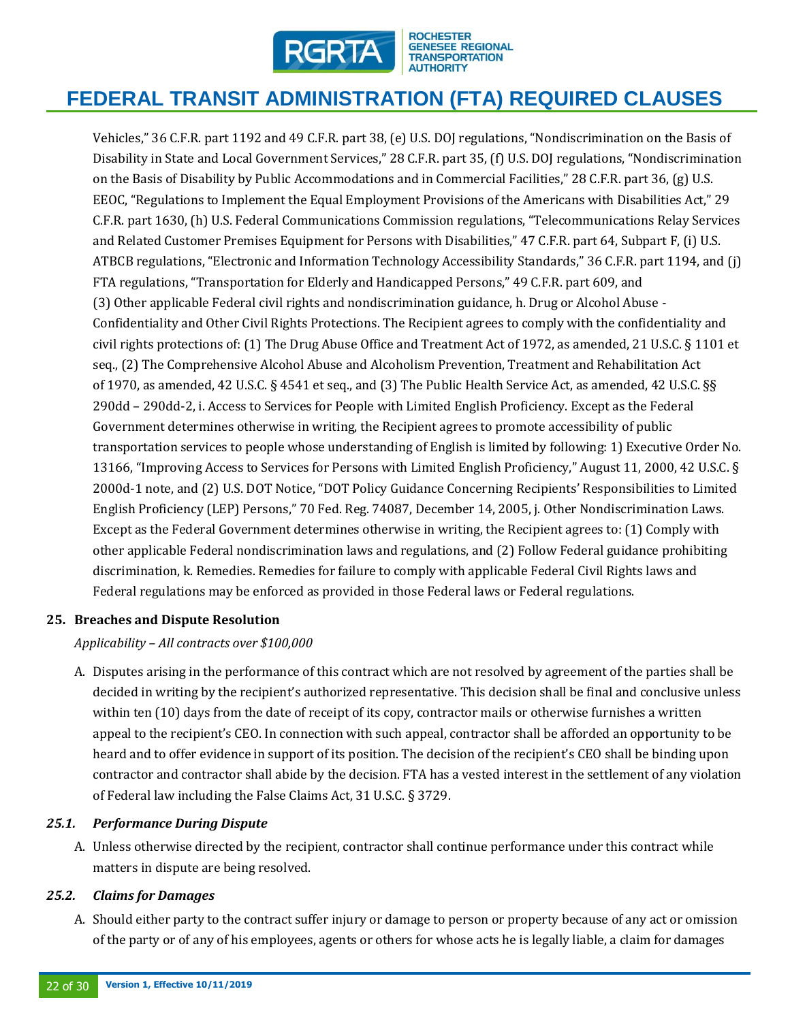

Vehicles," 36 C.F.R. part 1192 and 49 C.F.R. part 38, (e) U.S. DOJ regulations, "Nondiscrimination on the Basis of Disability in State and Local Government Services," 28 C.F.R. part 35, (f) U.S. DOJ regulations, "Nondiscrimination on the Basis of Disability by Public Accommodations and in Commercial Facilities," 28 C.F.R. part 36, (g) U.S. EEOC, "Regulations to Implement the Equal Employment Provisions of the Americans with Disabilities Act," 29 C.F.R. part 1630, (h) U.S. Federal Communications Commission regulations, "Telecommunications Relay Services and Related Customer Premises Equipment for Persons with Disabilities," 47 C.F.R. part 64, Subpart F, (i) U.S. ATBCB regulations, "Electronic and Information Technology Accessibility Standards," 36 C.F.R. part 1194, and (j) FTA regulations, "Transportation for Elderly and Handicapped Persons," 49 C.F.R. part 609, and (3) Other applicable Federal civil rights and nondiscrimination guidance, h. Drug or Alcohol Abuse - Confidentiality and Other Civil Rights Protections. The Recipient agrees to comply with the confidentiality and civil rights protections of: (1) The Drug Abuse Office and Treatment Act of 1972, as amended, 21 U.S.C. § 1101 et seq., (2) The Comprehensive Alcohol Abuse and Alcoholism Prevention, Treatment and Rehabilitation Act of 1970, as amended, 42 U.S.C. § 4541 et seq., and (3) The Public Health Service Act, as amended, 42 U.S.C. §§ 290dd – 290dd-2, i. Access to Services for People with Limited English Proficiency. Except as the Federal Government determines otherwise in writing, the Recipient agrees to promote accessibility of public transportation services to people whose understanding of English is limited by following: 1) Executive Order No. 13166, "Improving Access to Services for Persons with Limited English Proficiency," August 11, 2000, 42 U.S.C. § 2000d-1 note, and (2) U.S. DOT Notice, "DOT Policy Guidance Concerning Recipients' Responsibilities to Limited English Proficiency (LEP) Persons," 70 Fed. Reg. 74087, December 14, 2005, j. Other Nondiscrimination Laws. Except as the Federal Government determines otherwise in writing, the Recipient agrees to: (1) Comply with other applicable Federal nondiscrimination laws and regulations, and (2) Follow Federal guidance prohibiting discrimination, k. Remedies. Remedies for failure to comply with applicable Federal Civil Rights laws and Federal regulations may be enforced as provided in those Federal laws or Federal regulations.

### **25. Breaches and Dispute Resolution**

*Applicability – All contracts over \$100,000*

A. Disputes arising in the performance of this contract which are not resolved by agreement of the parties shall be decided in writing by the recipient's authorized representative. This decision shall be final and conclusive unless within ten (10) days from the date of receipt of its copy, contractor mails or otherwise furnishes a written appeal to the recipient's CEO. In connection with such appeal, contractor shall be afforded an opportunity to be heard and to offer evidence in support of its position. The decision of the recipient's CEO shall be binding upon contractor and contractor shall abide by the decision. FTA has a vested interest in the settlement of any violation of Federal law including the False Claims Act, 31 U.S.C. § 3729.

### *25.1. Performance During Dispute*

A. Unless otherwise directed by the recipient, contractor shall continue performance under this contract while matters in dispute are being resolved.

#### *25.2. Claims for Damages*

A. Should either party to the contract suffer injury or damage to person or property because of any act or omission of the party or of any of his employees, agents or others for whose acts he is legally liable, a claim for damages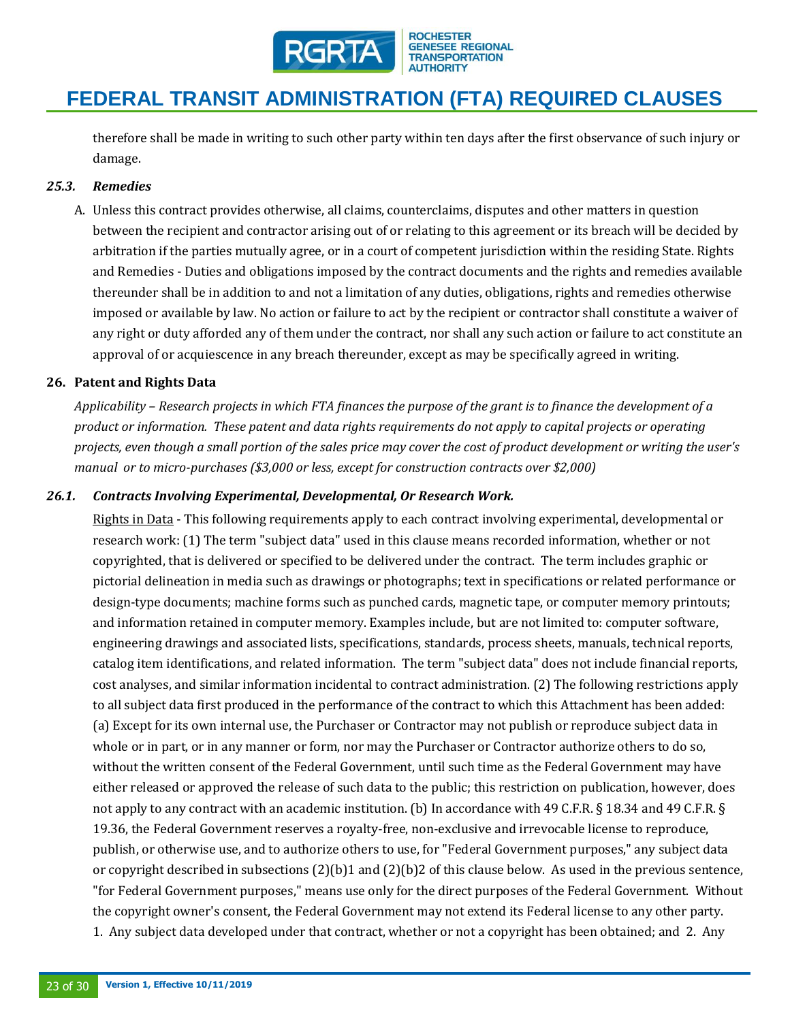

therefore shall be made in writing to such other party within ten days after the first observance of such injury or damage.

### *25.3. Remedies*

A. Unless this contract provides otherwise, all claims, counterclaims, disputes and other matters in question between the recipient and contractor arising out of or relating to this agreement or its breach will be decided by arbitration if the parties mutually agree, or in a court of competent jurisdiction within the residing State. Rights and Remedies - Duties and obligations imposed by the contract documents and the rights and remedies available thereunder shall be in addition to and not a limitation of any duties, obligations, rights and remedies otherwise imposed or available by law. No action or failure to act by the recipient or contractor shall constitute a waiver of any right or duty afforded any of them under the contract, nor shall any such action or failure to act constitute an approval of or acquiescence in any breach thereunder, except as may be specifically agreed in writing.

#### **26. Patent and Rights Data**

*Applicability – Research projects in which FTA finances the purpose of the grant is to finance the development of a product or information. These patent and data rights requirements do not apply to capital projects or operating projects, even though a small portion of the sales price may cover the cost of product development or writing the user's manual or to micro-purchases (\$3,000 or less, except for construction contracts over \$2,000)*

#### *26.1. Contracts Involving Experimental, Developmental, Or Research Work.*

Rights in Data - This following requirements apply to each contract involving experimental, developmental or research work: (1) The term "subject data" used in this clause means recorded information, whether or not copyrighted, that is delivered or specified to be delivered under the contract. The term includes graphic or pictorial delineation in media such as drawings or photographs; text in specifications or related performance or design-type documents; machine forms such as punched cards, magnetic tape, or computer memory printouts; and information retained in computer memory. Examples include, but are not limited to: computer software, engineering drawings and associated lists, specifications, standards, process sheets, manuals, technical reports, catalog item identifications, and related information. The term "subject data" does not include financial reports, cost analyses, and similar information incidental to contract administration. (2) The following restrictions apply to all subject data first produced in the performance of the contract to which this Attachment has been added: (a) Except for its own internal use, the Purchaser or Contractor may not publish or reproduce subject data in whole or in part, or in any manner or form, nor may the Purchaser or Contractor authorize others to do so, without the written consent of the Federal Government, until such time as the Federal Government may have either released or approved the release of such data to the public; this restriction on publication, however, does not apply to any contract with an academic institution. (b) In accordance with 49 C.F.R. § 18.34 and 49 C.F.R. § 19.36, the Federal Government reserves a royalty-free, non-exclusive and irrevocable license to reproduce, publish, or otherwise use, and to authorize others to use, for "Federal Government purposes," any subject data or copyright described in subsections (2)(b)1 and (2)(b)2 of this clause below. As used in the previous sentence, "for Federal Government purposes," means use only for the direct purposes of the Federal Government. Without the copyright owner's consent, the Federal Government may not extend its Federal license to any other party. 1. Any subject data developed under that contract, whether or not a copyright has been obtained; and 2. Any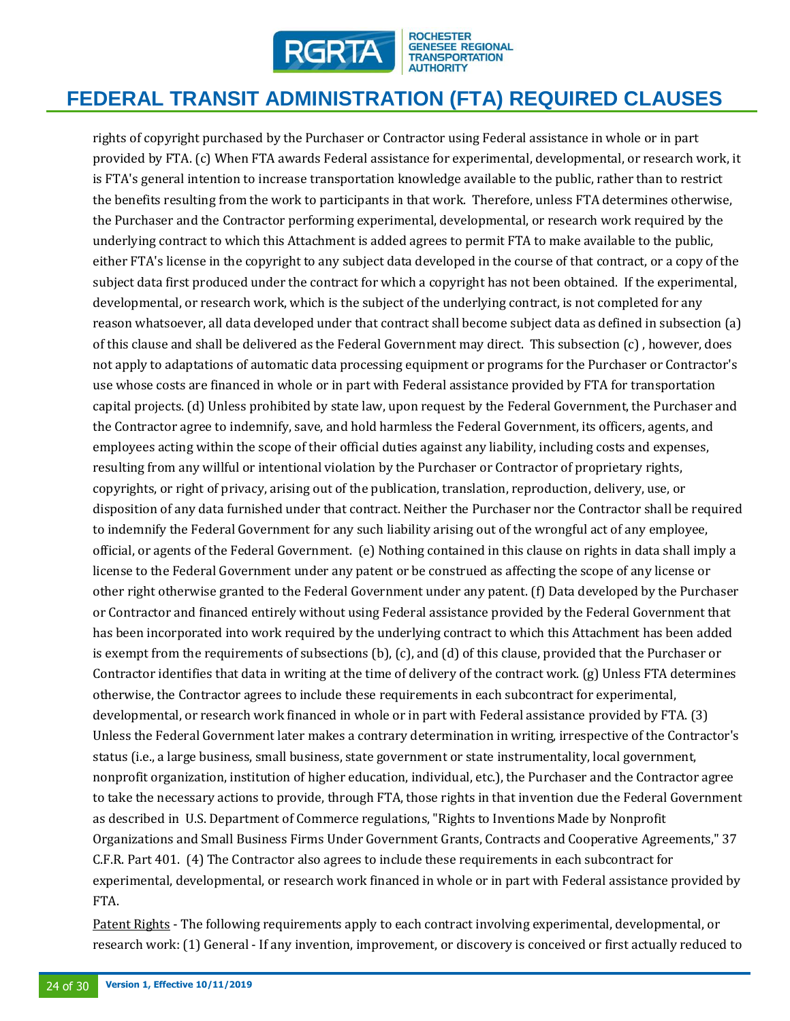

# **FEDERAL TRANSIT ADMINISTRATION (FTA) REQUIRED CLAUSES**

rights of copyright purchased by the Purchaser or Contractor using Federal assistance in whole or in part provided by FTA. (c) When FTA awards Federal assistance for experimental, developmental, or research work, it is FTA's general intention to increase transportation knowledge available to the public, rather than to restrict the benefits resulting from the work to participants in that work. Therefore, unless FTA determines otherwise, the Purchaser and the Contractor performing experimental, developmental, or research work required by the underlying contract to which this Attachment is added agrees to permit FTA to make available to the public, either FTA's license in the copyright to any subject data developed in the course of that contract, or a copy of the subject data first produced under the contract for which a copyright has not been obtained. If the experimental, developmental, or research work, which is the subject of the underlying contract, is not completed for any reason whatsoever, all data developed under that contract shall become subject data as defined in subsection (a) of this clause and shall be delivered as the Federal Government may direct. This subsection (c) , however, does not apply to adaptations of automatic data processing equipment or programs for the Purchaser or Contractor's use whose costs are financed in whole or in part with Federal assistance provided by FTA for transportation capital projects. (d) Unless prohibited by state law, upon request by the Federal Government, the Purchaser and the Contractor agree to indemnify, save, and hold harmless the Federal Government, its officers, agents, and employees acting within the scope of their official duties against any liability, including costs and expenses, resulting from any willful or intentional violation by the Purchaser or Contractor of proprietary rights, copyrights, or right of privacy, arising out of the publication, translation, reproduction, delivery, use, or disposition of any data furnished under that contract. Neither the Purchaser nor the Contractor shall be required to indemnify the Federal Government for any such liability arising out of the wrongful act of any employee, official, or agents of the Federal Government. (e) Nothing contained in this clause on rights in data shall imply a license to the Federal Government under any patent or be construed as affecting the scope of any license or other right otherwise granted to the Federal Government under any patent. (f) Data developed by the Purchaser or Contractor and financed entirely without using Federal assistance provided by the Federal Government that has been incorporated into work required by the underlying contract to which this Attachment has been added is exempt from the requirements of subsections (b), (c), and (d) of this clause, provided that the Purchaser or Contractor identifies that data in writing at the time of delivery of the contract work. (g) Unless FTA determines otherwise, the Contractor agrees to include these requirements in each subcontract for experimental, developmental, or research work financed in whole or in part with Federal assistance provided by FTA. (3) Unless the Federal Government later makes a contrary determination in writing, irrespective of the Contractor's status (i.e., a large business, small business, state government or state instrumentality, local government, nonprofit organization, institution of higher education, individual, etc.), the Purchaser and the Contractor agree to take the necessary actions to provide, through FTA, those rights in that invention due the Federal Government as described in U.S. Department of Commerce regulations, "Rights to Inventions Made by Nonprofit Organizations and Small Business Firms Under Government Grants, Contracts and Cooperative Agreements," 37 C.F.R. Part 401. (4) The Contractor also agrees to include these requirements in each subcontract for experimental, developmental, or research work financed in whole or in part with Federal assistance provided by FTA.

Patent Rights - The following requirements apply to each contract involving experimental, developmental, or research work: (1) General - If any invention, improvement, or discovery is conceived or first actually reduced to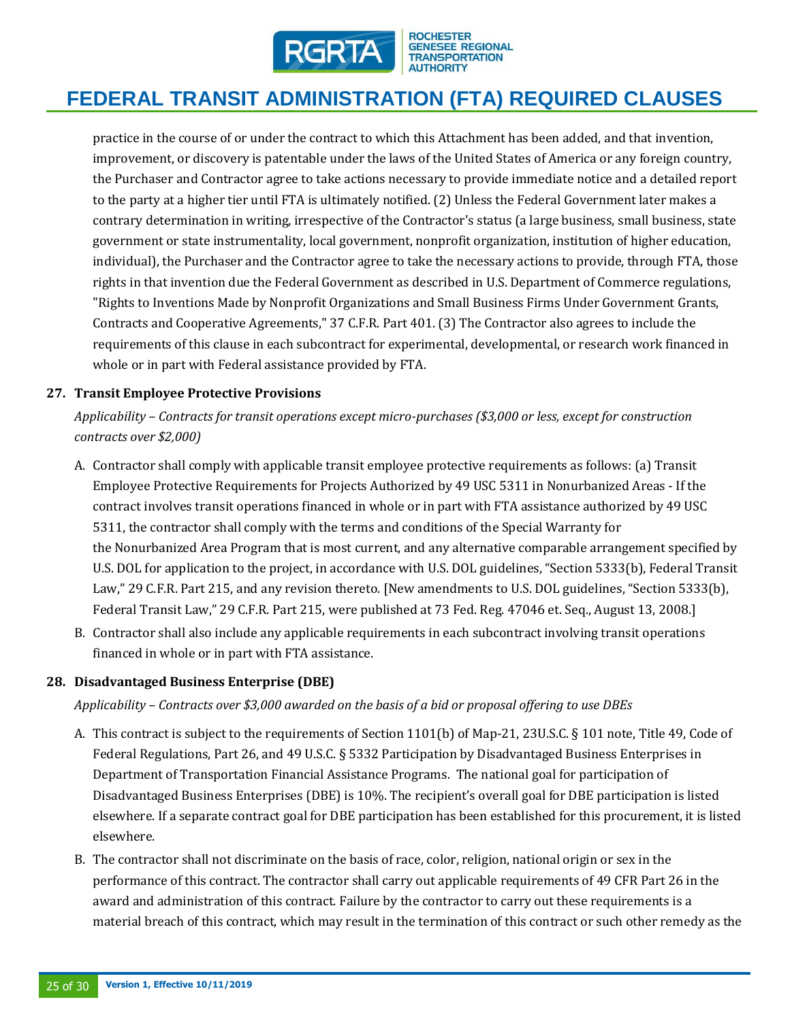

practice in the course of or under the contract to which this Attachment has been added, and that invention, improvement, or discovery is patentable under the laws of the United States of America or any foreign country, the Purchaser and Contractor agree to take actions necessary to provide immediate notice and a detailed report to the party at a higher tier until FTA is ultimately notified. (2) Unless the Federal Government later makes a contrary determination in writing, irrespective of the Contractor's status (a large business, small business, state government or state instrumentality, local government, nonprofit organization, institution of higher education, individual), the Purchaser and the Contractor agree to take the necessary actions to provide, through FTA, those rights in that invention due the Federal Government as described in U.S. Department of Commerce regulations, "Rights to Inventions Made by Nonprofit Organizations and Small Business Firms Under Government Grants, Contracts and Cooperative Agreements," 37 C.F.R. Part 401. (3) The Contractor also agrees to include the requirements of this clause in each subcontract for experimental, developmental, or research work financed in whole or in part with Federal assistance provided by FTA.

# **27. Transit Employee Protective Provisions**

*Applicability – Contracts for transit operations except micro-purchases (\$3,000 or less, except for construction contracts over \$2,000)*

- A. Contractor shall comply with applicable transit employee protective requirements as follows: (a) Transit Employee Protective Requirements for Projects Authorized by 49 USC 5311 in Nonurbanized Areas - If the contract involves transit operations financed in whole or in part with FTA assistance authorized by 49 USC 5311, the contractor shall comply with the terms and conditions of the Special Warranty for the Nonurbanized Area Program that is most current, and any alternative comparable arrangement specified by U.S. DOL for application to the project, in accordance with U.S. DOL guidelines, "Section 5333(b), Federal Transit Law," 29 C.F.R. Part 215, and any revision thereto. [New amendments to U.S. DOL guidelines, "Section 5333(b), Federal Transit Law," 29 C.F.R. Part 215, were published at 73 Fed. Reg. 47046 et. Seq., August 13, 2008.]
- B. Contractor shall also include any applicable requirements in each subcontract involving transit operations financed in whole or in part with FTA assistance.

### **28. Disadvantaged Business Enterprise (DBE)**

*Applicability – Contracts over \$3,000 awarded on the basis of a bid or proposal offering to use DBEs* 

- A. This contract is subject to the requirements of Section 1101(b) of Map-21, 23U.S.C. § 101 note, Title 49, Code of Federal Regulations, Part 26, and 49 U.S.C. § 5332 Participation by Disadvantaged Business Enterprises in Department of Transportation Financial Assistance Programs. The national goal for participation of Disadvantaged Business Enterprises (DBE) is 10%. The recipient's overall goal for DBE participation is listed elsewhere. If a separate contract goal for DBE participation has been established for this procurement, it is listed elsewhere.
- B. The contractor shall not discriminate on the basis of race, color, religion, national origin or sex in the performance of this contract. The contractor shall carry out applicable requirements of 49 CFR Part 26 in the award and administration of this contract. Failure by the contractor to carry out these requirements is a material breach of this contract, which may result in the termination of this contract or such other remedy as the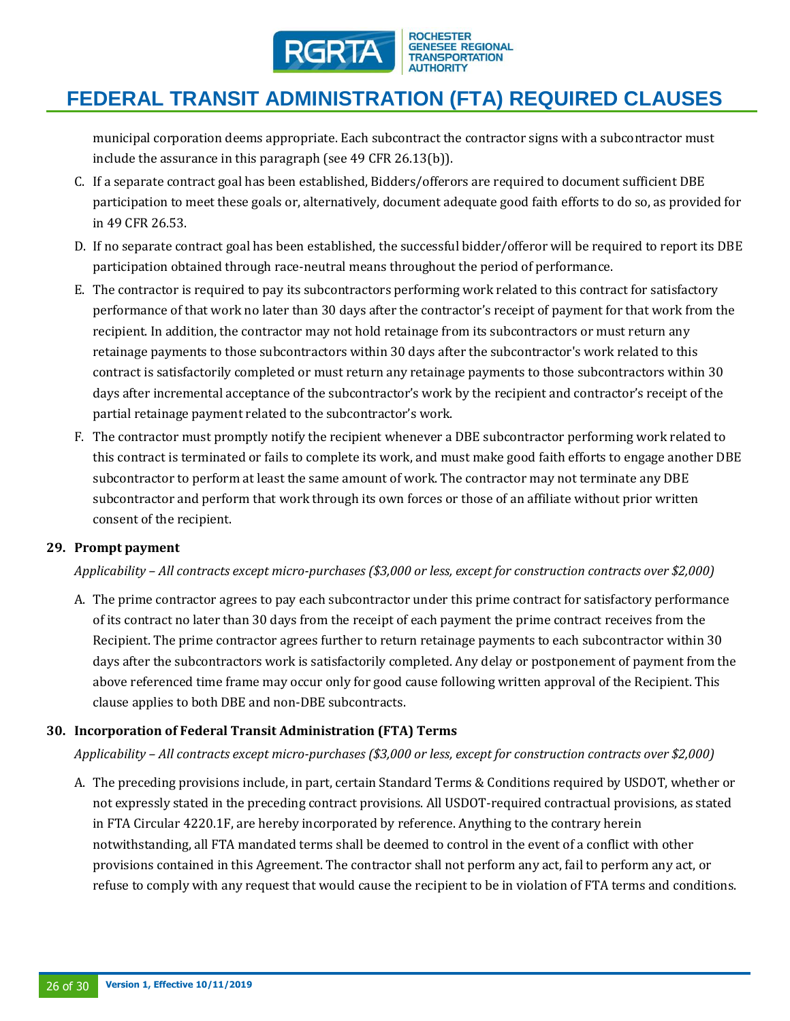

municipal corporation deems appropriate. Each subcontract the contractor signs with a subcontractor must include the assurance in this paragraph (see 49 CFR 26.13(b)).

- C. If a separate contract goal has been established, Bidders/offerors are required to document sufficient DBE participation to meet these goals or, alternatively, document adequate good faith efforts to do so, as provided for in 49 CFR 26.53.
- D. If no separate contract goal has been established, the successful bidder/offeror will be required to report its DBE participation obtained through race-neutral means throughout the period of performance.
- E. The contractor is required to pay its subcontractors performing work related to this contract for satisfactory performance of that work no later than 30 days after the contractor's receipt of payment for that work from the recipient. In addition, the contractor may not hold retainage from its subcontractors or must return any retainage payments to those subcontractors within 30 days after the subcontractor's work related to this contract is satisfactorily completed or must return any retainage payments to those subcontractors within 30 days after incremental acceptance of the subcontractor's work by the recipient and contractor's receipt of the partial retainage payment related to the subcontractor's work.
- F. The contractor must promptly notify the recipient whenever a DBE subcontractor performing work related to this contract is terminated or fails to complete its work, and must make good faith efforts to engage another DBE subcontractor to perform at least the same amount of work. The contractor may not terminate any DBE subcontractor and perform that work through its own forces or those of an affiliate without prior written consent of the recipient.

### **29. Prompt payment**

### *Applicability – All contracts except micro-purchases (\$3,000 or less, except for construction contracts over \$2,000)*

A. The prime contractor agrees to pay each subcontractor under this prime contract for satisfactory performance of its contract no later than 30 days from the receipt of each payment the prime contract receives from the Recipient. The prime contractor agrees further to return retainage payments to each subcontractor within 30 days after the subcontractors work is satisfactorily completed. Any delay or postponement of payment from the above referenced time frame may occur only for good cause following written approval of the Recipient. This clause applies to both DBE and non-DBE subcontracts.

# **30. Incorporation of Federal Transit Administration (FTA) Terms**

*Applicability – All contracts except micro-purchases (\$3,000 or less, except for construction contracts over \$2,000)*

A. The preceding provisions include, in part, certain Standard Terms & Conditions required by USDOT, whether or not expressly stated in the preceding contract provisions. All USDOT-required contractual provisions, as stated in FTA Circular 4220.1F, are hereby incorporated by reference. Anything to the contrary herein notwithstanding, all FTA mandated terms shall be deemed to control in the event of a conflict with other provisions contained in this Agreement. The contractor shall not perform any act, fail to perform any act, or refuse to comply with any request that would cause the recipient to be in violation of FTA terms and conditions.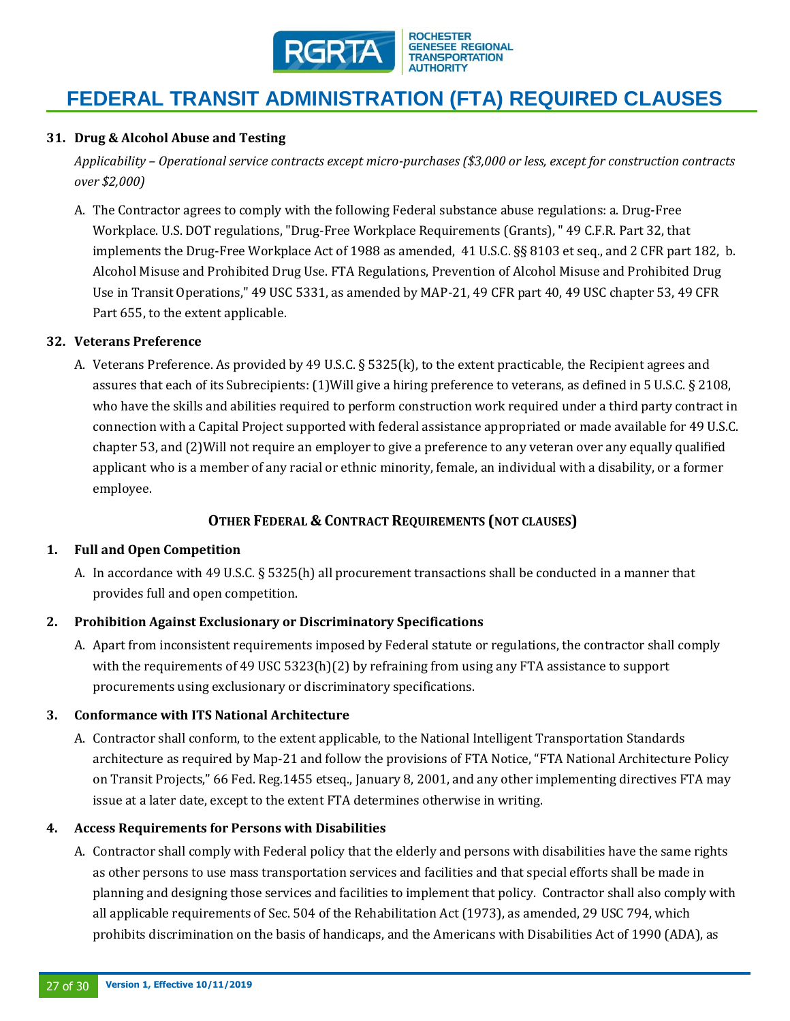

#### **31. Drug & Alcohol Abuse and Testing**

*Applicability – Operational service contracts except micro-purchases (\$3,000 or less, except for construction contracts over \$2,000)*

A. The Contractor agrees to comply with the following Federal substance abuse regulations: a. Drug-Free Workplace. U.S. DOT regulations, "Drug-Free Workplace Requirements (Grants), " 49 C.F.R. Part 32, that implements the Drug-Free Workplace Act of 1988 as amended, 41 U.S.C. §§ 8103 et seq., and 2 CFR part 182, b. Alcohol Misuse and Prohibited Drug Use. FTA Regulations, Prevention of Alcohol Misuse and Prohibited Drug Use in Transit Operations," 49 USC 5331, as amended by MAP-21, 49 CFR part 40, 49 USC chapter 53, 49 CFR Part 655, to the extent applicable.

#### **32. Veterans Preference**

A. Veterans Preference. As provided by 49 U.S.C. § 5325(k), to the extent practicable, the Recipient agrees and assures that each of its Subrecipients: (1)Will give a hiring preference to veterans, as defined in 5 U.S.C. § 2108, who have the skills and abilities required to perform construction work required under a third party contract in connection with a Capital Project supported with federal assistance appropriated or made available for 49 U.S.C. chapter 53, and (2)Will not require an employer to give a preference to any veteran over any equally qualified applicant who is a member of any racial or ethnic minority, female, an individual with a disability, or a former employee. 

# **OTHER FEDERAL & CONTRACT REQUIREMENTS (NOT CLAUSES)**

#### **1. Full and Open Competition**

A. In accordance with 49 U.S.C. § 5325(h) all procurement transactions shall be conducted in a manner that provides full and open competition.

#### **2. Prohibition Against Exclusionary or Discriminatory Specifications**

A. Apart from inconsistent requirements imposed by Federal statute or regulations, the contractor shall comply with the requirements of 49 USC 5323(h)(2) by refraining from using any FTA assistance to support procurements using exclusionary or discriminatory specifications.

#### **3. Conformance with ITS National Architecture**

A. Contractor shall conform, to the extent applicable, to the National Intelligent Transportation Standards architecture as required by Map-21 and follow the provisions of FTA Notice, "FTA National Architecture Policy on Transit Projects," 66 Fed. Reg.1455 etseq., January 8, 2001, and any other implementing directives FTA may issue at a later date, except to the extent FTA determines otherwise in writing.

#### **4. Access Requirements for Persons with Disabilities**

A. Contractor shall comply with Federal policy that the elderly and persons with disabilities have the same rights as other persons to use mass transportation services and facilities and that special efforts shall be made in planning and designing those services and facilities to implement that policy. Contractor shall also comply with all applicable requirements of Sec. 504 of the Rehabilitation Act (1973), as amended, 29 USC 794, which prohibits discrimination on the basis of handicaps, and the Americans with Disabilities Act of 1990 (ADA), as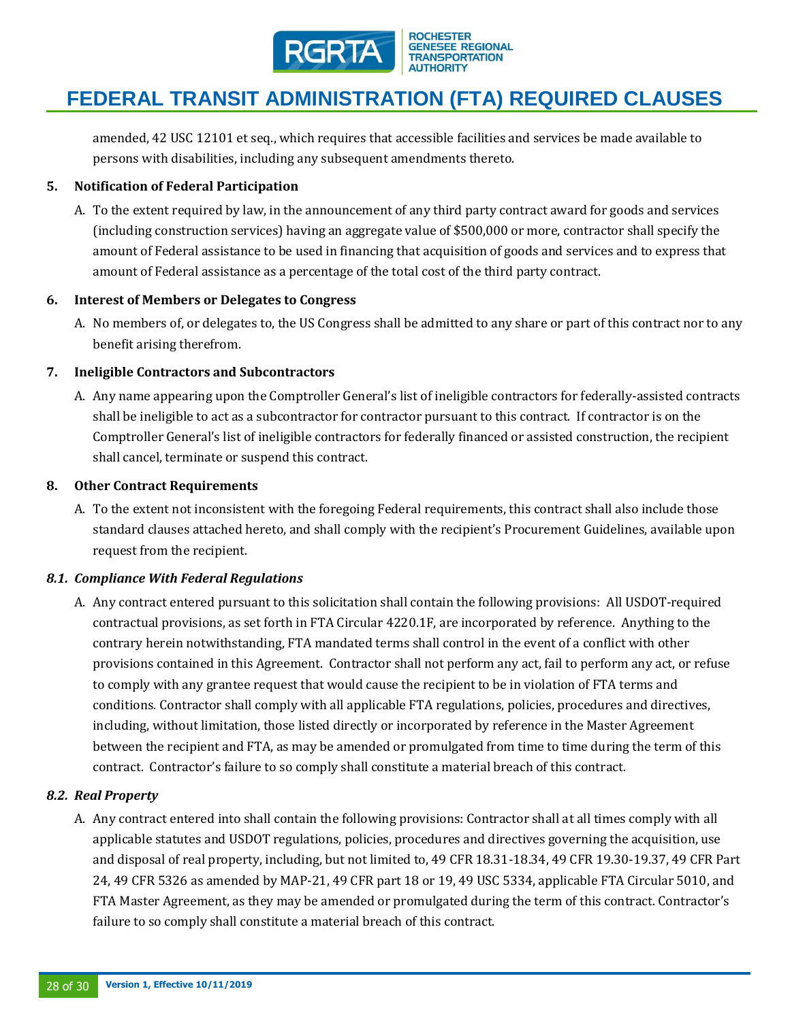

amended, 42 USC 12101 et seq., which requires that accessible facilities and services be made available to persons with disabilities, including any subsequent amendments thereto.

### **5. Notification of Federal Participation**

A. To the extent required by law, in the announcement of any third party contract award for goods and services (including construction services) having an aggregate value of \$500,000 or more, contractor shall specify the amount of Federal assistance to be used in financing that acquisition of goods and services and to express that amount of Federal assistance as a percentage of the total cost of the third party contract.

#### **6. Interest of Members or Delegates to Congress**

A. No members of, or delegates to, the US Congress shall be admitted to any share or part of this contract nor to any benefit arising therefrom.

### **7. Ineligible Contractors and Subcontractors**

A. Any name appearing upon the Comptroller General's list of ineligible contractors for federally-assisted contracts shall be ineligible to act as a subcontractor for contractor pursuant to this contract. If contractor is on the Comptroller General's list of ineligible contractors for federally financed or assisted construction, the recipient shall cancel, terminate or suspend this contract.

#### **8. Other Contract Requirements**

A. To the extent not inconsistent with the foregoing Federal requirements, this contract shall also include those standard clauses attached hereto, and shall comply with the recipient's Procurement Guidelines, available upon request from the recipient.

### *8.1. Compliance With Federal Regulations*

A. Any contract entered pursuant to this solicitation shall contain the following provisions: All USDOT-required contractual provisions, as set forth in FTA Circular 4220.1F, are incorporated by reference. Anything to the contrary herein notwithstanding, FTA mandated terms shall control in the event of a conflict with other provisions contained in this Agreement. Contractor shall not perform any act, fail to perform any act, or refuse to comply with any grantee request that would cause the recipient to be in violation of FTA terms and conditions. Contractor shall comply with all applicable FTA regulations, policies, procedures and directives, including, without limitation, those listed directly or incorporated by reference in the Master Agreement between the recipient and FTA, as may be amended or promulgated from time to time during the term of this contract. Contractor's failure to so comply shall constitute a material breach of this contract.

### *8.2. Real Property*

A. Any contract entered into shall contain the following provisions: Contractor shall at all times comply with all applicable statutes and USDOT regulations, policies, procedures and directives governing the acquisition, use and disposal of real property, including, but not limited to, 49 CFR 18.31-18.34, 49 CFR 19.30-19.37, 49 CFR Part 24, 49 CFR 5326 as amended by MAP-21, 49 CFR part 18 or 19, 49 USC 5334, applicable FTA Circular 5010, and FTA Master Agreement, as they may be amended or promulgated during the term of this contract. Contractor's failure to so comply shall constitute a material breach of this contract.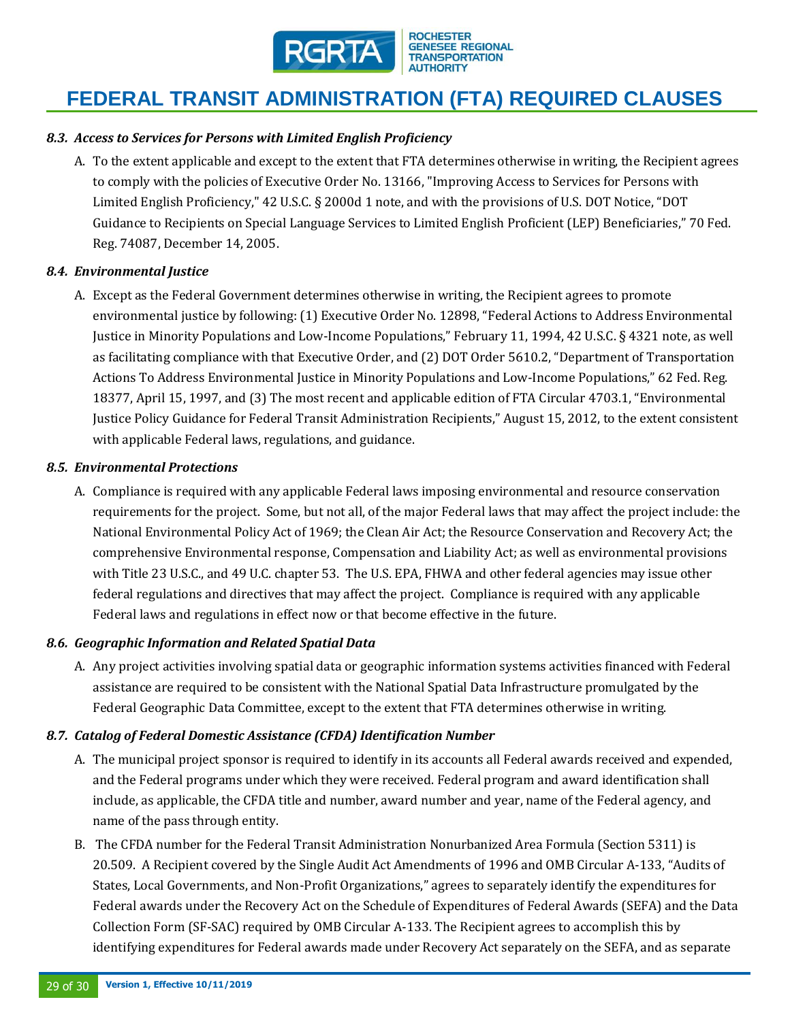

### *8.3. Access to Services for Persons with Limited English Proficiency*

A. To the extent applicable and except to the extent that FTA determines otherwise in writing, the Recipient agrees to comply with the policies of Executive Order No. 13166, "Improving Access to Services for Persons with Limited English Proficiency," 42 U.S.C. § 2000d 1 note, and with the provisions of U.S. DOT Notice, "DOT Guidance to Recipients on Special Language Services to Limited English Proficient (LEP) Beneficiaries," 70 Fed. Reg. 74087, December 14, 2005.

#### *8.4. Environmental Justice*

A. Except as the Federal Government determines otherwise in writing, the Recipient agrees to promote environmental justice by following: (1) Executive Order No. 12898, "Federal Actions to Address Environmental Justice in Minority Populations and Low-Income Populations," February 11, 1994, 42 U.S.C. § 4321 note, as well as facilitating compliance with that Executive Order, and (2) DOT Order 5610.2, "Department of Transportation Actions To Address Environmental Justice in Minority Populations and Low-Income Populations," 62 Fed. Reg. 18377, April 15, 1997, and (3) The most recent and applicable edition of FTA Circular 4703.1, "Environmental Justice Policy Guidance for Federal Transit Administration Recipients," August 15, 2012, to the extent consistent with applicable Federal laws, regulations, and guidance.

#### *8.5. Environmental Protections*

A. Compliance is required with any applicable Federal laws imposing environmental and resource conservation requirements for the project. Some, but not all, of the major Federal laws that may affect the project include: the National Environmental Policy Act of 1969; the Clean Air Act; the Resource Conservation and Recovery Act; the comprehensive Environmental response, Compensation and Liability Act; as well as environmental provisions with Title 23 U.S.C., and 49 U.C. chapter 53. The U.S. EPA, FHWA and other federal agencies may issue other federal regulations and directives that may affect the project. Compliance is required with any applicable Federal laws and regulations in effect now or that become effective in the future.

#### *8.6. Geographic Information and Related Spatial Data*

A. Any project activities involving spatial data or geographic information systems activities financed with Federal assistance are required to be consistent with the National Spatial Data Infrastructure promulgated by the Federal Geographic Data Committee, except to the extent that FTA determines otherwise in writing.

#### *8.7. Catalog of Federal Domestic Assistance (CFDA) Identification Number*

- A. The municipal project sponsor is required to identify in its accounts all Federal awards received and expended, and the Federal programs under which they were received. Federal program and award identification shall include, as applicable, the CFDA title and number, award number and year, name of the Federal agency, and name of the pass through entity.
- B. The CFDA number for the Federal Transit Administration Nonurbanized Area Formula (Section 5311) is 20.509. A Recipient covered by the Single Audit Act Amendments of 1996 and OMB Circular A-133, "Audits of States, Local Governments, and Non-Profit Organizations," agrees to separately identify the expenditures for Federal awards under the Recovery Act on the Schedule of Expenditures of Federal Awards (SEFA) and the Data Collection Form (SF-SAC) required by OMB Circular A-133. The Recipient agrees to accomplish this by identifying expenditures for Federal awards made under Recovery Act separately on the SEFA, and as separate